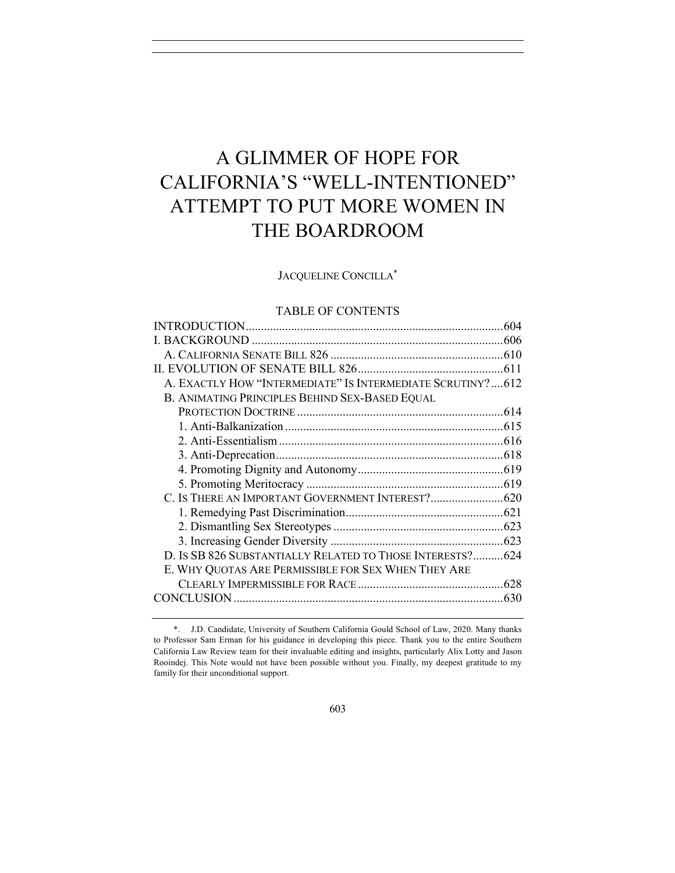# A GLIMMER OF HOPE FOR CALIFORNIA'S "WELL-INTENTIONED" ATTEMPT TO PUT MORE WOMEN IN THE BOARDROOM

# JACQUELINE CONCILLA\*

# TABLE OF CONTENTS

|                                                            | .604 |
|------------------------------------------------------------|------|
|                                                            |      |
|                                                            |      |
|                                                            |      |
| A. EXACTLY HOW "INTERMEDIATE" IS INTERMEDIATE SCRUTINY?612 |      |
| B. ANIMATING PRINCIPLES BEHIND SEX-BASED EQUAL             |      |
|                                                            |      |
|                                                            |      |
|                                                            |      |
|                                                            |      |
|                                                            |      |
|                                                            |      |
|                                                            |      |
|                                                            |      |
|                                                            |      |
|                                                            |      |
| D. IS SB 826 SUBSTANTIALLY RELATED TO THOSE INTERESTS? 624 |      |
| E. WHY QUOTAS ARE PERMISSIBLE FOR SEX WHEN THEY ARE        |      |
|                                                            | .628 |
|                                                            | .630 |
|                                                            |      |

<sup>\*.</sup> J.D. Candidate, University of Southern California Gould School of Law, 2020. Many thanks to Professor Sam Erman for his guidance in developing this piece. Thank you to the entire Southern California Law Review team for their invaluable editing and insights, particularly Alix Lotty and Jason Rooindej. This Note would not have been possible without you. Finally, my deepest gratitude to my family for their unconditional support.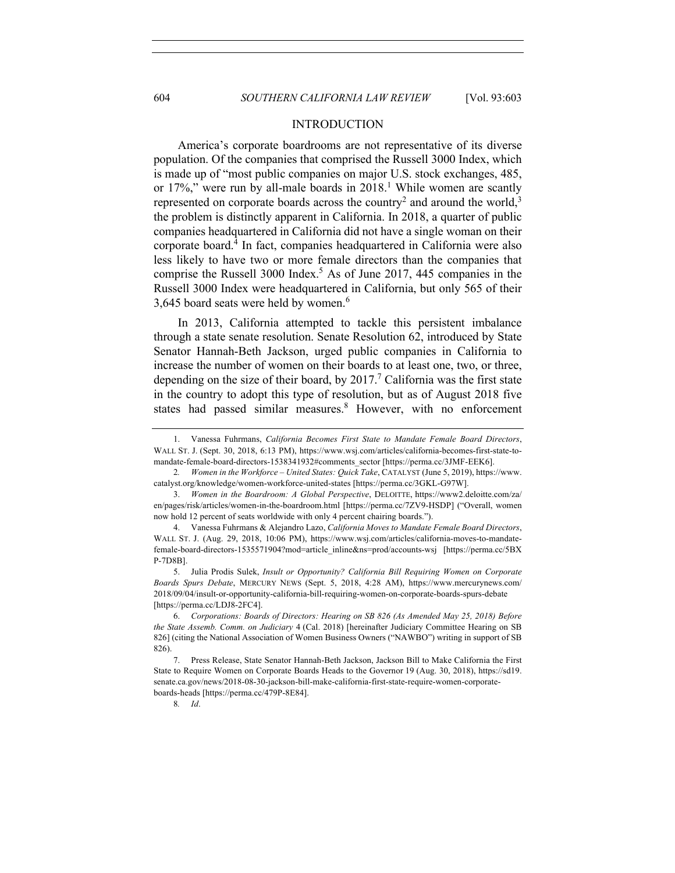## INTRODUCTION

America's corporate boardrooms are not representative of its diverse population. Of the companies that comprised the Russell 3000 Index, which is made up of "most public companies on major U.S. stock exchanges, 485, or 17%," were run by all-male boards in 2018.<sup>1</sup> While women are scantly represented on corporate boards across the country<sup>2</sup> and around the world,<sup>3</sup> the problem is distinctly apparent in California. In 2018, a quarter of public companies headquartered in California did not have a single woman on their corporate board.4 In fact, companies headquartered in California were also less likely to have two or more female directors than the companies that comprise the Russell 3000 Index. <sup>5</sup> As of June 2017, 445 companies in the Russell 3000 Index were headquartered in California, but only 565 of their 3,645 board seats were held by women.<sup>6</sup>

In 2013, California attempted to tackle this persistent imbalance through a state senate resolution. Senate Resolution 62, introduced by State Senator Hannah-Beth Jackson, urged public companies in California to increase the number of women on their boards to at least one, two, or three, depending on the size of their board, by  $2017<sup>7</sup>$  California was the first state in the country to adopt this type of resolution, but as of August 2018 five states had passed similar measures.<sup>8</sup> However, with no enforcement

<sup>1.</sup> Vanessa Fuhrmans, *California Becomes First State to Mandate Female Board Directors*, WALL ST. J. (Sept. 30, 2018, 6:13 PM), https://www.wsj.com/articles/california-becomes-first-state-tomandate-female-board-directors-1538341932#comments\_sector [https://perma.cc/3JMF-EEK6].

<sup>2</sup>*. Women in the Workforce – United States: Quick Take*, CATALYST (June 5, 2019), https://www. catalyst.org/knowledge/women-workforce-united-states [https://perma.cc/3GKL-G97W].

<sup>3.</sup> *Women in the Boardroom: A Global Perspective*, DELOITTE, https://www2.deloitte.com/za/ en/pages/risk/articles/women-in-the-boardroom.html [https://perma.cc/7ZV9-HSDP] ("Overall, women now hold 12 percent of seats worldwide with only 4 percent chairing boards.").

<sup>4.</sup> Vanessa Fuhrmans & Alejandro Lazo, *California Moves to Mandate Female Board Directors*, WALL ST. J. (Aug. 29, 2018, 10:06 PM), https://www.wsj.com/articles/california-moves-to-mandatefemale-board-directors-1535571904?mod=article\_inline&ns=prod/accounts-wsj [https://perma.cc/5BX P-7D8B].

<sup>5.</sup> Julia Prodis Sulek, *Insult or Opportunity? California Bill Requiring Women on Corporate Boards Spurs Debate*, MERCURY NEWS (Sept. 5, 2018, 4:28 AM), https://www.mercurynews.com/ 2018/09/04/insult-or-opportunity-california-bill-requiring-women-on-corporate-boards-spurs-debate [https://perma.cc/LDJ8-2FC4].

<sup>6.</sup> *Corporations: Boards of Directors: Hearing on SB 826 (As Amended May 25, 2018) Before the State Assemb. Comm. on Judiciary* 4 (Cal. 2018) [hereinafter Judiciary Committee Hearing on SB 826] (citing the National Association of Women Business Owners ("NAWBO") writing in support of SB 826).

<sup>7.</sup> Press Release, State Senator Hannah-Beth Jackson, Jackson Bill to Make California the First State to Require Women on Corporate Boards Heads to the Governor 19 (Aug. 30, 2018), https://sd19. senate.ca.gov/news/2018-08-30-jackson-bill-make-california-first-state-require-women-corporateboards-heads [https://perma.cc/479P-8E84].

<sup>8</sup>*. Id*.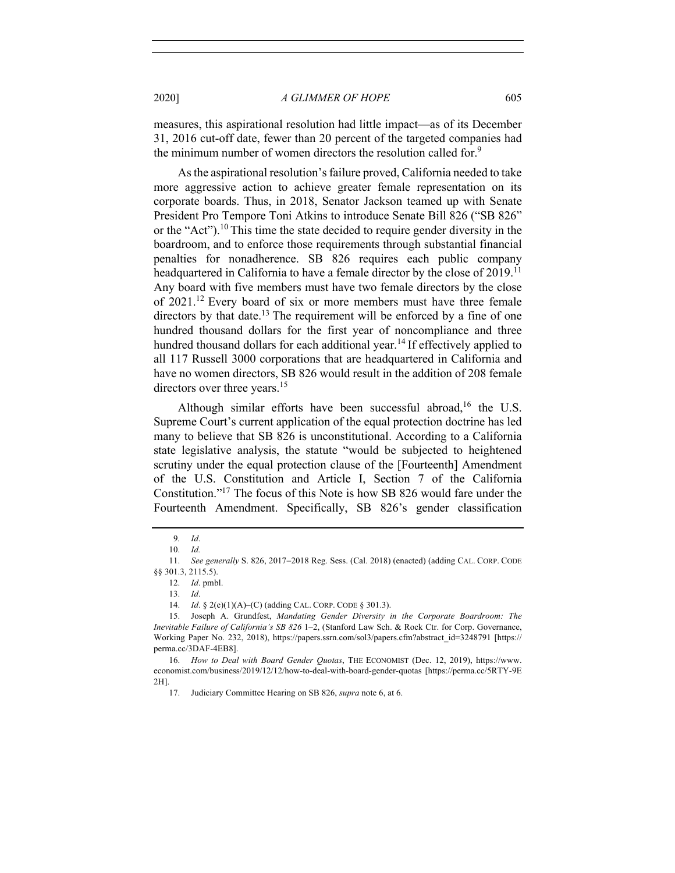measures, this aspirational resolution had little impact—as of its December 31, 2016 cut-off date, fewer than 20 percent of the targeted companies had the minimum number of women directors the resolution called for.<sup>9</sup>

As the aspirational resolution's failure proved, California needed to take more aggressive action to achieve greater female representation on its corporate boards. Thus, in 2018, Senator Jackson teamed up with Senate President Pro Tempore Toni Atkins to introduce Senate Bill 826 ("SB 826" or the "Act").<sup>10</sup> This time the state decided to require gender diversity in the boardroom, and to enforce those requirements through substantial financial penalties for nonadherence. SB 826 requires each public company headquartered in California to have a female director by the close of 2019.<sup>11</sup> Any board with five members must have two female directors by the close of 2021.12 Every board of six or more members must have three female directors by that date.<sup>13</sup> The requirement will be enforced by a fine of one hundred thousand dollars for the first year of noncompliance and three hundred thousand dollars for each additional year.<sup>14</sup> If effectively applied to all 117 Russell 3000 corporations that are headquartered in California and have no women directors, SB 826 would result in the addition of 208 female directors over three years.<sup>15</sup>

Although similar efforts have been successful abroad,<sup>16</sup> the U.S. Supreme Court's current application of the equal protection doctrine has led many to believe that SB 826 is unconstitutional. According to a California state legislative analysis, the statute "would be subjected to heightened scrutiny under the equal protection clause of the [Fourteenth] Amendment of the U.S. Constitution and Article I, Section 7 of the California Constitution."17 The focus of this Note is how SB 826 would fare under the Fourteenth Amendment. Specifically, SB 826's gender classification

<sup>9</sup>*. Id*.

<sup>10.</sup> *Id.*

<sup>11.</sup> *See generally* S. 826, 2017-2018 Reg. Sess. (Cal. 2018) (enacted) (adding CAL. CORP. CODE §§ 301.3, 2115.5).

<sup>12.</sup> *Id*. pmbl.

<sup>13.</sup> *Id*.

<sup>14.</sup> *Id*. § 2(e)(1)(A)–(C) (adding CAL. CORP. CODE § 301.3).

<sup>15.</sup> Joseph A. Grundfest, *Mandating Gender Diversity in the Corporate Boardroom: The Inevitable Failure of California's SB 826* 1–2, (Stanford Law Sch. & Rock Ctr. for Corp. Governance, Working Paper No. 232, 2018), https://papers.ssrn.com/sol3/papers.cfm?abstract\_id=3248791 [https:// perma.cc/3DAF-4EB8].

<sup>16.</sup> *How to Deal with Board Gender Quotas*, THE ECONOMIST (Dec. 12, 2019), https://www. economist.com/business/2019/12/12/how-to-deal-with-board-gender-quotas [https://perma.cc/5RTY-9E 2H].

<sup>17.</sup> Judiciary Committee Hearing on SB 826, *supra* note 6, at 6.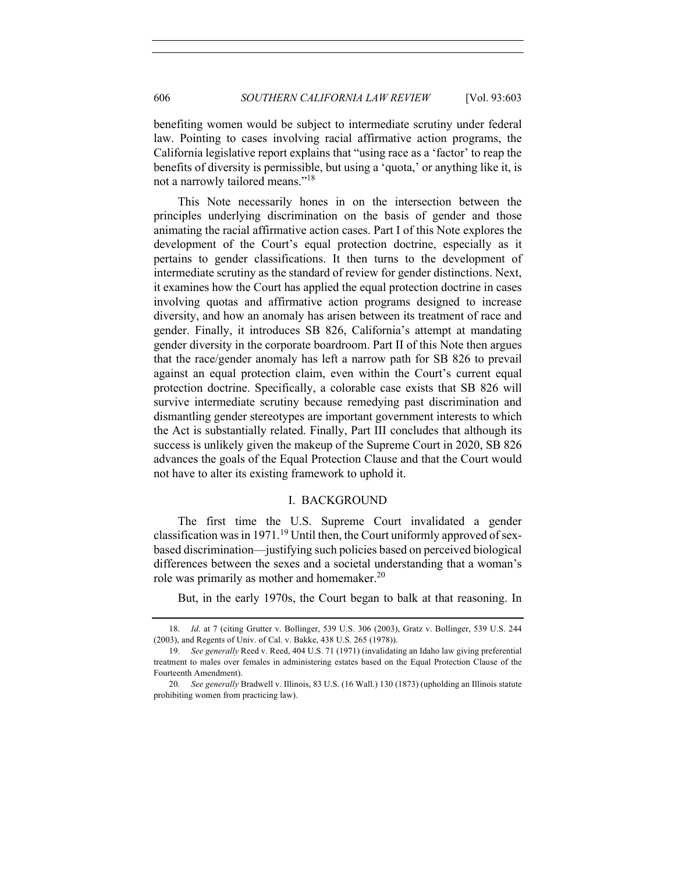benefiting women would be subject to intermediate scrutiny under federal law. Pointing to cases involving racial affirmative action programs, the California legislative report explains that "using race as a 'factor' to reap the benefits of diversity is permissible, but using a 'quota,' or anything like it, is not a narrowly tailored means."18

This Note necessarily hones in on the intersection between the principles underlying discrimination on the basis of gender and those animating the racial affirmative action cases. Part I of this Note explores the development of the Court's equal protection doctrine, especially as it pertains to gender classifications. It then turns to the development of intermediate scrutiny as the standard of review for gender distinctions. Next, it examines how the Court has applied the equal protection doctrine in cases involving quotas and affirmative action programs designed to increase diversity, and how an anomaly has arisen between its treatment of race and gender. Finally, it introduces SB 826, California's attempt at mandating gender diversity in the corporate boardroom. Part II of this Note then argues that the race/gender anomaly has left a narrow path for SB 826 to prevail against an equal protection claim, even within the Court's current equal protection doctrine. Specifically, a colorable case exists that SB 826 will survive intermediate scrutiny because remedying past discrimination and dismantling gender stereotypes are important government interests to which the Act is substantially related. Finally, Part III concludes that although its success is unlikely given the makeup of the Supreme Court in 2020, SB 826 advances the goals of the Equal Protection Clause and that the Court would not have to alter its existing framework to uphold it.

#### I. BACKGROUND

The first time the U.S. Supreme Court invalidated a gender classification was in 1971.<sup>19</sup> Until then, the Court uniformly approved of sexbased discrimination—justifying such policies based on perceived biological differences between the sexes and a societal understanding that a woman's role was primarily as mother and homemaker.<sup>20</sup>

But, in the early 1970s, the Court began to balk at that reasoning. In

<sup>18.</sup> *Id*. at 7 (citing Grutter v. Bollinger, 539 U.S. 306 (2003), Gratz v. Bollinger, 539 U.S. 244 (2003), and Regents of Univ. of Cal. v. Bakke, 438 U.S. 265 (1978)).

<sup>19.</sup> *See generally* Reed v. Reed, 404 U.S. 71 (1971) (invalidating an Idaho law giving preferential treatment to males over females in administering estates based on the Equal Protection Clause of the Fourteenth Amendment).

<sup>20.</sup> *See generally* Bradwell v. Illinois, 83 U.S. (16 Wall.) 130 (1873) (upholding an Illinois statute prohibiting women from practicing law).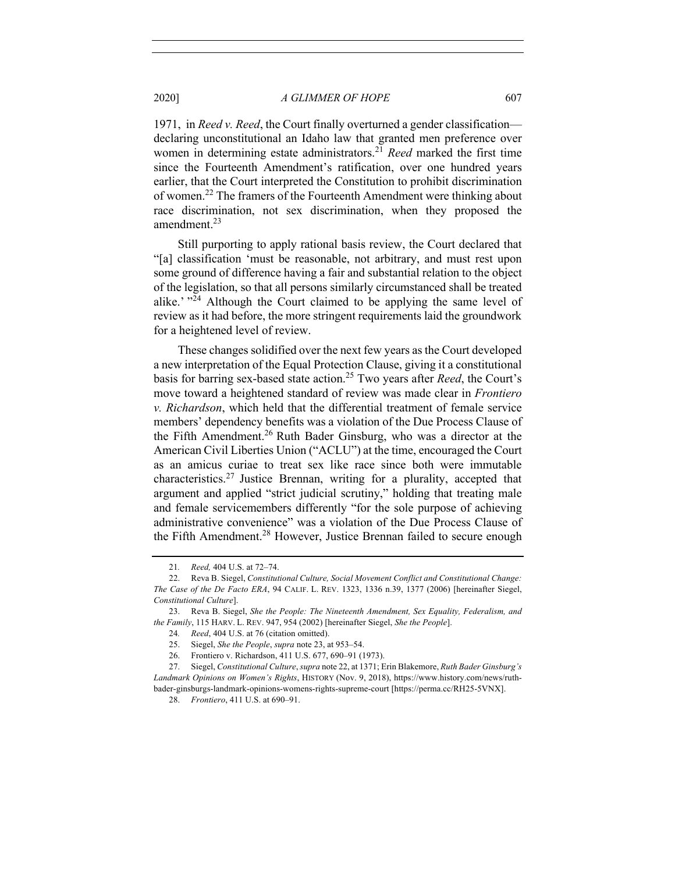1971, in *Reed v. Reed*, the Court finally overturned a gender classification declaring unconstitutional an Idaho law that granted men preference over women in determining estate administrators.<sup>21</sup> *Reed* marked the first time since the Fourteenth Amendment's ratification, over one hundred years earlier, that the Court interpreted the Constitution to prohibit discrimination of women.<sup>22</sup> The framers of the Fourteenth Amendment were thinking about race discrimination, not sex discrimination, when they proposed the amendment.<sup>23</sup>

Still purporting to apply rational basis review, the Court declared that "[a] classification 'must be reasonable, not arbitrary, and must rest upon some ground of difference having a fair and substantial relation to the object of the legislation, so that all persons similarly circumstanced shall be treated alike.'  $^{324}$  Although the Court claimed to be applying the same level of review as it had before, the more stringent requirements laid the groundwork for a heightened level of review.

These changes solidified over the next few years as the Court developed a new interpretation of the Equal Protection Clause, giving it a constitutional basis for barring sex-based state action.25 Two years after *Reed*, the Court's move toward a heightened standard of review was made clear in *Frontiero v. Richardson*, which held that the differential treatment of female service members' dependency benefits was a violation of the Due Process Clause of the Fifth Amendment.<sup>26</sup> Ruth Bader Ginsburg, who was a director at the American Civil Liberties Union ("ACLU") at the time, encouraged the Court as an amicus curiae to treat sex like race since both were immutable characteristics. <sup>27</sup> Justice Brennan, writing for a plurality, accepted that argument and applied "strict judicial scrutiny," holding that treating male and female servicemembers differently "for the sole purpose of achieving administrative convenience" was a violation of the Due Process Clause of the Fifth Amendment.<sup>28</sup> However, Justice Brennan failed to secure enough

<sup>21</sup>*. Reed,* 404 U.S. at 72–74.

<sup>22.</sup> Reva B. Siegel, *Constitutional Culture, Social Movement Conflict and Constitutional Change: The Case of the De Facto ERA*, 94 CALIF. L. REV. 1323, 1336 n.39, 1377 (2006) [hereinafter Siegel, *Constitutional Culture*].

<sup>23.</sup> Reva B. Siegel, *She the People: The Nineteenth Amendment, Sex Equality, Federalism, and the Family*, 115 HARV. L. REV. 947, 954 (2002) [hereinafter Siegel, *She the People*].

<sup>24</sup>*. Reed*, 404 U.S. at 76 (citation omitted).

<sup>25.</sup> Siegel, *She the People*, *supra* note 23, at 953–54.

<sup>26.</sup> Frontiero v. Richardson, 411 U.S. 677, 690–91 (1973).

<sup>27.</sup> Siegel, *Constitutional Culture*, *supra* note 22, at 1371; Erin Blakemore, *Ruth Bader Ginsburg's Landmark Opinions on Women's Rights*, HISTORY (Nov. 9, 2018), https://www.history.com/news/ruthbader-ginsburgs-landmark-opinions-womens-rights-supreme-court [https://perma.cc/RH25-5VNX].

<sup>28.</sup> *Frontiero*, 411 U.S. at 690–91.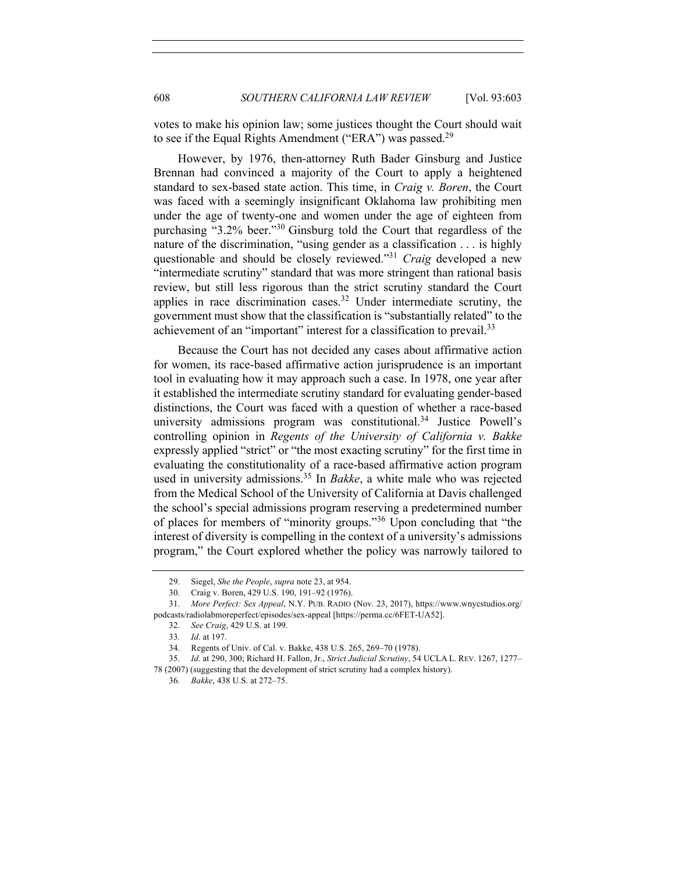votes to make his opinion law; some justices thought the Court should wait to see if the Equal Rights Amendment ("ERA") was passed.<sup>29</sup>

However, by 1976, then-attorney Ruth Bader Ginsburg and Justice Brennan had convinced a majority of the Court to apply a heightened standard to sex-based state action. This time, in *Craig v. Boren*, the Court was faced with a seemingly insignificant Oklahoma law prohibiting men under the age of twenty-one and women under the age of eighteen from purchasing "3.2% beer."30 Ginsburg told the Court that regardless of the nature of the discrimination, "using gender as a classification . . . is highly questionable and should be closely reviewed."31 *Craig* developed a new "intermediate scrutiny" standard that was more stringent than rational basis review, but still less rigorous than the strict scrutiny standard the Court applies in race discrimination cases.<sup>32</sup> Under intermediate scrutiny, the government must show that the classification is "substantially related" to the achievement of an "important" interest for a classification to prevail.<sup>33</sup>

Because the Court has not decided any cases about affirmative action for women, its race-based affirmative action jurisprudence is an important tool in evaluating how it may approach such a case. In 1978, one year after it established the intermediate scrutiny standard for evaluating gender-based distinctions, the Court was faced with a question of whether a race-based university admissions program was constitutional.<sup>34</sup> Justice Powell's controlling opinion in *Regents of the University of California v. Bakke* expressly applied "strict" or "the most exacting scrutiny" for the first time in evaluating the constitutionality of a race-based affirmative action program used in university admissions.<sup>35</sup> In *Bakke*, a white male who was rejected from the Medical School of the University of California at Davis challenged the school's special admissions program reserving a predetermined number of places for members of "minority groups."<sup>36</sup> Upon concluding that "the interest of diversity is compelling in the context of a university's admissions program," the Court explored whether the policy was narrowly tailored to

<sup>29.</sup> Siegel, *She the People*, *supra* note 23, at 954.

<sup>30.</sup> Craig v. Boren, 429 U.S. 190, 191–92 (1976).

<sup>31.</sup> *More Perfect: Sex Appeal*, N.Y. PUB. RADIO (Nov. 23, 2017), https://www.wnycstudios.org/ podcasts/radiolabmoreperfect/episodes/sex-appeal [https://perma.cc/6FET-UA52].

<sup>32.</sup> *See Craig*, 429 U.S. at 199.

<sup>33</sup>*. Id*. at 197.

<sup>34.</sup> Regents of Univ. of Cal. v. Bakke, 438 U.S. 265, 269–70 (1978).

<sup>35.</sup> *Id*. at 290, 300; Richard H. Fallon, Jr., *Strict Judicial Scrutiny*, 54 UCLA L. REV. 1267, 1277– 78 (2007) (suggesting that the development of strict scrutiny had a complex history).

<sup>36</sup>*. Bakke*, 438 U.S. at 272–75.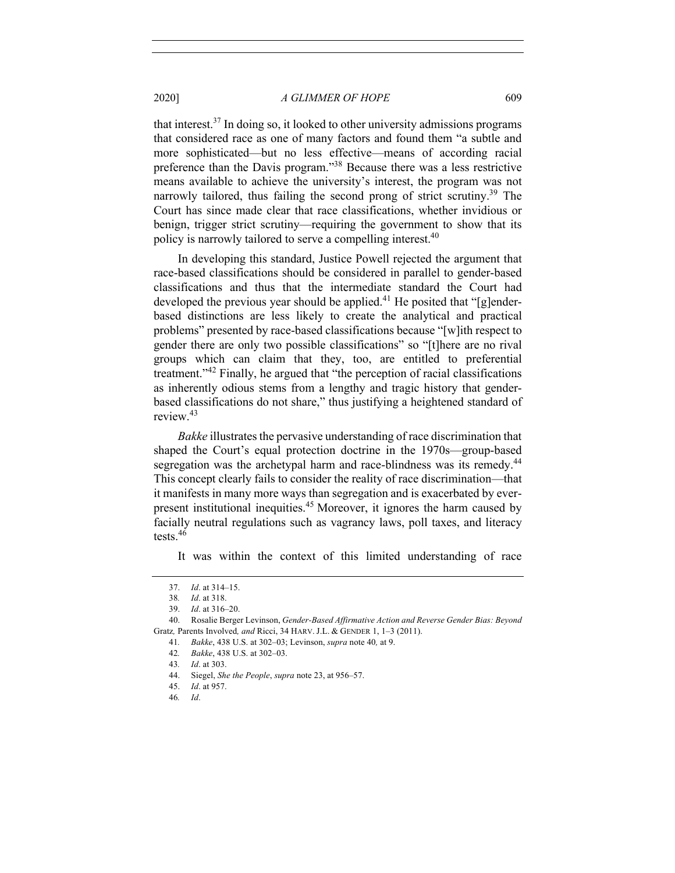that interest.37 In doing so, it looked to other university admissions programs that considered race as one of many factors and found them "a subtle and more sophisticated—but no less effective—means of according racial preference than the Davis program."38 Because there was a less restrictive means available to achieve the university's interest, the program was not narrowly tailored, thus failing the second prong of strict scrutiny.<sup>39</sup> The Court has since made clear that race classifications, whether invidious or benign, trigger strict scrutiny—requiring the government to show that its policy is narrowly tailored to serve a compelling interest.40

In developing this standard, Justice Powell rejected the argument that race-based classifications should be considered in parallel to gender-based classifications and thus that the intermediate standard the Court had developed the previous year should be applied.<sup>41</sup> He posited that "[g]enderbased distinctions are less likely to create the analytical and practical problems" presented by race-based classifications because "[w]ith respect to gender there are only two possible classifications" so "[t]here are no rival groups which can claim that they, too, are entitled to preferential treatment."<sup>42</sup> Finally, he argued that "the perception of racial classifications as inherently odious stems from a lengthy and tragic history that genderbased classifications do not share," thus justifying a heightened standard of review.43

*Bakke* illustrates the pervasive understanding of race discrimination that shaped the Court's equal protection doctrine in the 1970s—group-based segregation was the archetypal harm and race-blindness was its remedy.<sup>44</sup> This concept clearly fails to consider the reality of race discrimination—that it manifests in many more ways than segregation and is exacerbated by everpresent institutional inequities.<sup>45</sup> Moreover, it ignores the harm caused by facially neutral regulations such as vagrancy laws, poll taxes, and literacy tests.<sup>46</sup>

It was within the context of this limited understanding of race

41*. Bakke*, 438 U.S. at 302–03; Levinson, *supra* note 40*,* at 9.

44. Siegel, *She the People*, *supra* note 23, at 956–57.

<sup>37.</sup> *Id*. at 314–15.

<sup>38</sup>*. Id*. at 318.

<sup>39.</sup> *Id*. at 316–20.

<sup>40.</sup> Rosalie Berger Levinson, *Gender-Based Affirmative Action and Reverse Gender Bias: Beyond*  Gratz*,* Parents Involved*, and* Ricci, 34 HARV. J.L. & GENDER 1, 1–3 (2011).

<sup>42</sup>*. Bakke*, 438 U.S. at 302–03.

<sup>43</sup>*. Id*. at 303.

<sup>45.</sup> *Id*. at 957.

<sup>46</sup>*. Id*.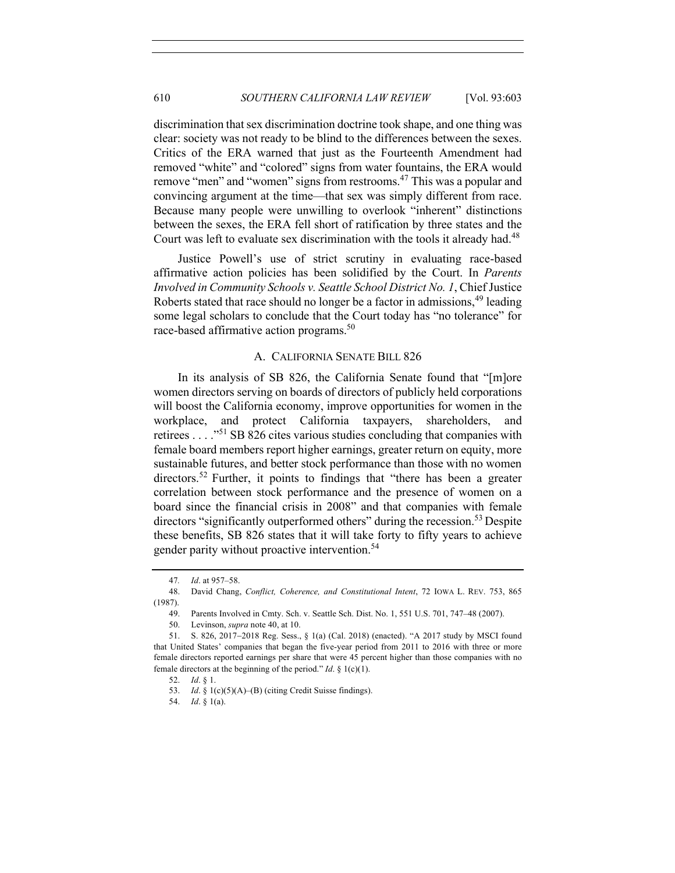discrimination that sex discrimination doctrine took shape, and one thing was clear: society was not ready to be blind to the differences between the sexes. Critics of the ERA warned that just as the Fourteenth Amendment had removed "white" and "colored" signs from water fountains, the ERA would remove "men" and "women" signs from restrooms.<sup>47</sup> This was a popular and convincing argument at the time—that sex was simply different from race. Because many people were unwilling to overlook "inherent" distinctions between the sexes, the ERA fell short of ratification by three states and the Court was left to evaluate sex discrimination with the tools it already had.<sup>48</sup>

Justice Powell's use of strict scrutiny in evaluating race-based affirmative action policies has been solidified by the Court. In *Parents Involved in Community Schools v. Seattle School District No. 1*, Chief Justice Roberts stated that race should no longer be a factor in admissions,  $49$  leading some legal scholars to conclude that the Court today has "no tolerance" for race-based affirmative action programs.<sup>50</sup>

## A. CALIFORNIA SENATE BILL 826

In its analysis of SB 826, the California Senate found that "[m]ore women directors serving on boards of directors of publicly held corporations will boost the California economy, improve opportunities for women in the workplace, and protect California taxpayers, shareholders, and retirees . . . ."<sup>51</sup> SB 826 cites various studies concluding that companies with female board members report higher earnings, greater return on equity, more sustainable futures, and better stock performance than those with no women directors.<sup>52</sup> Further, it points to findings that "there has been a greater correlation between stock performance and the presence of women on a board since the financial crisis in 2008" and that companies with female directors "significantly outperformed others" during the recession.<sup>53</sup> Despite these benefits, SB 826 states that it will take forty to fifty years to achieve gender parity without proactive intervention.54

<sup>47</sup>*. Id*. at 957–58.

<sup>48.</sup> David Chang, *Conflict, Coherence, and Constitutional Intent*, 72 IOWA L. REV. 753, 865 (1987).

<sup>49.</sup> Parents Involved in Cmty. Sch. v. Seattle Sch. Dist. No. 1, 551 U.S. 701, 747–48 (2007).

<sup>50.</sup> Levinson, *supra* note 40, at 10.

<sup>51.</sup> S. 826, 2017-2018 Reg. Sess., § 1(a) (Cal. 2018) (enacted). "A 2017 study by MSCI found that United States' companies that began the five-year period from 2011 to 2016 with three or more female directors reported earnings per share that were 45 percent higher than those companies with no female directors at the beginning of the period." *Id*. § 1(c)(1).

<sup>52.</sup> *Id*. § 1.

<sup>53.</sup> *Id*. § 1(c)(5)(A)–(B) (citing Credit Suisse findings).

<sup>54.</sup> *Id*. § 1(a).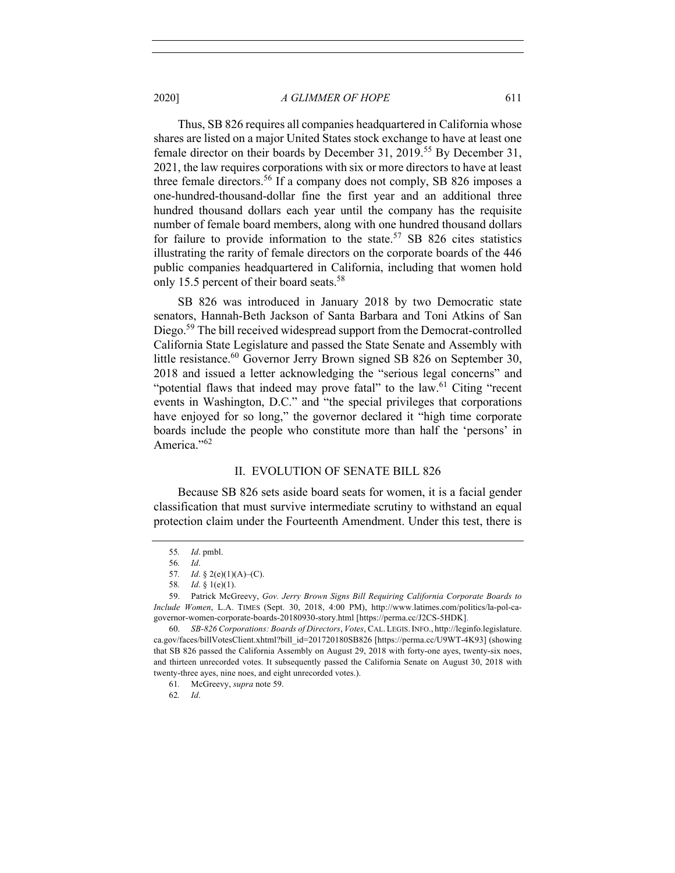Thus, SB 826 requires all companies headquartered in California whose shares are listed on a major United States stock exchange to have at least one female director on their boards by December 31, 2019.<sup>55</sup> By December 31, 2021, the law requires corporations with six or more directors to have at least three female directors.<sup>56</sup> If a company does not comply, SB 826 imposes a one-hundred-thousand-dollar fine the first year and an additional three hundred thousand dollars each year until the company has the requisite number of female board members, along with one hundred thousand dollars for failure to provide information to the state.<sup>57</sup> SB 826 cites statistics illustrating the rarity of female directors on the corporate boards of the 446 public companies headquartered in California, including that women hold only 15.5 percent of their board seats.<sup>58</sup>

SB 826 was introduced in January 2018 by two Democratic state senators, Hannah-Beth Jackson of Santa Barbara and Toni Atkins of San Diego.<sup>59</sup> The bill received widespread support from the Democrat-controlled California State Legislature and passed the State Senate and Assembly with little resistance.<sup>60</sup> Governor Jerry Brown signed SB 826 on September 30, 2018 and issued a letter acknowledging the "serious legal concerns" and "potential flaws that indeed may prove fatal" to the law.<sup>61</sup> Citing "recent events in Washington, D.C." and "the special privileges that corporations have enjoyed for so long," the governor declared it "high time corporate boards include the people who constitute more than half the 'persons' in America."<sup>62</sup>

## II. EVOLUTION OF SENATE BILL 826

Because SB 826 sets aside board seats for women, it is a facial gender classification that must survive intermediate scrutiny to withstand an equal protection claim under the Fourteenth Amendment. Under this test, there is

62*. Id*.

<sup>55</sup>*. Id*. pmbl.

<sup>56</sup>*. Id*.

<sup>57</sup>*. Id*. § 2(e)(1)(A)–(C).

<sup>58</sup>*. Id*. § 1(e)(1).

<sup>59.</sup> Patrick McGreevy, *Gov. Jerry Brown Signs Bill Requiring California Corporate Boards to Include Women*, L.A. TIMES (Sept. 30, 2018, 4:00 PM), http://www.latimes.com/politics/la-pol-cagovernor-women-corporate-boards-20180930-story.html [https://perma.cc/J2CS-5HDK].

<sup>60.</sup> *SB-826 Corporations: Boards of Directors*, *Votes*, CAL. LEGIS.INFO., http://leginfo.legislature. ca.gov/faces/billVotesClient.xhtml?bill\_id=201720180SB826 [https://perma.cc/U9WT-4K93] (showing that SB 826 passed the California Assembly on August 29, 2018 with forty-one ayes, twenty-six noes, and thirteen unrecorded votes. It subsequently passed the California Senate on August 30, 2018 with twenty-three ayes, nine noes, and eight unrecorded votes.).

<sup>61</sup>*.* McGreevy, *supra* note 59.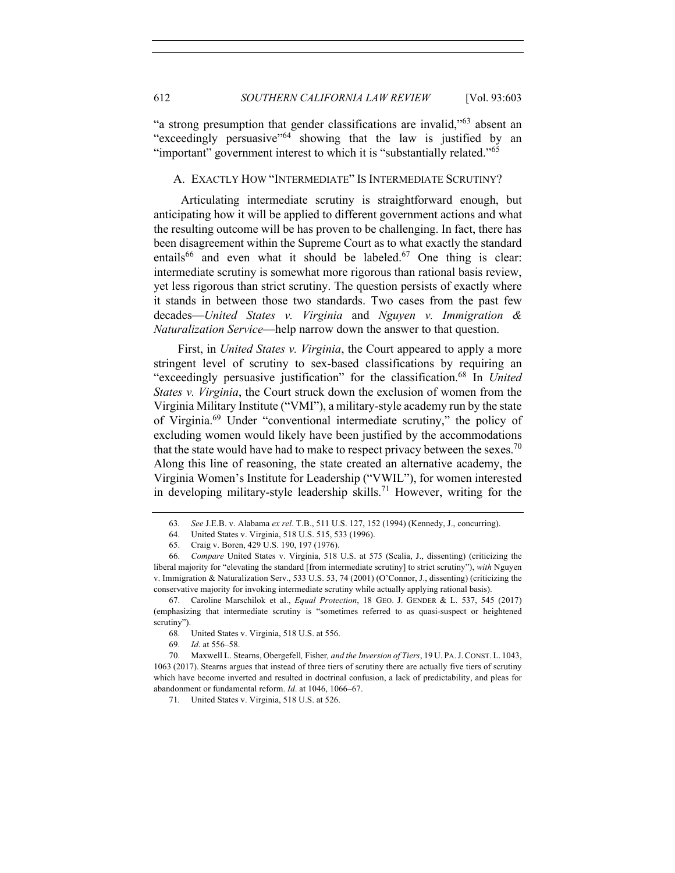"a strong presumption that gender classifications are invalid,"63 absent an "exceedingly persuasive"<sup>64</sup> showing that the law is justified by an "important" government interest to which it is "substantially related."<sup>65</sup>

## A. EXACTLY HOW "INTERMEDIATE" IS INTERMEDIATE SCRUTINY?

Articulating intermediate scrutiny is straightforward enough, but anticipating how it will be applied to different government actions and what the resulting outcome will be has proven to be challenging. In fact, there has been disagreement within the Supreme Court as to what exactly the standard entails<sup>66</sup> and even what it should be labeled.<sup>67</sup> One thing is clear: intermediate scrutiny is somewhat more rigorous than rational basis review, yet less rigorous than strict scrutiny. The question persists of exactly where it stands in between those two standards. Two cases from the past few decades—*United States v. Virginia* and *Nguyen v. Immigration & Naturalization Service*—help narrow down the answer to that question.

First, in *United States v. Virginia*, the Court appeared to apply a more stringent level of scrutiny to sex-based classifications by requiring an "exceedingly persuasive justification" for the classification.68 In *United States v. Virginia*, the Court struck down the exclusion of women from the Virginia Military Institute ("VMI"), a military-style academy run by the state of Virginia.69 Under "conventional intermediate scrutiny," the policy of excluding women would likely have been justified by the accommodations that the state would have had to make to respect privacy between the sexes.<sup>70</sup> Along this line of reasoning, the state created an alternative academy, the Virginia Women's Institute for Leadership ("VWIL"), for women interested in developing military-style leadership skills.<sup>71</sup> However, writing for the

69. *Id*. at 556–58.

<sup>63</sup>*. See* J.E.B. v. Alabama *ex rel*. T.B., 511 U.S. 127, 152 (1994) (Kennedy, J., concurring).

<sup>64.</sup> United States v. Virginia, 518 U.S. 515, 533 (1996).

<sup>65.</sup> Craig v. Boren, 429 U.S. 190, 197 (1976).

<sup>66.</sup> *Compare* United States v. Virginia, 518 U.S. at 575 (Scalia, J., dissenting) (criticizing the liberal majority for "elevating the standard [from intermediate scrutiny] to strict scrutiny"), *with* Nguyen v. Immigration & Naturalization Serv., 533 U.S. 53, 74 (2001) (O'Connor, J., dissenting) (criticizing the conservative majority for invoking intermediate scrutiny while actually applying rational basis).

<sup>67.</sup> Caroline Marschilok et al., *Equal Protection*, 18 GEO. J. GENDER & L. 537, 545 (2017) (emphasizing that intermediate scrutiny is "sometimes referred to as quasi-suspect or heightened scrutiny").

<sup>68.</sup> United States v. Virginia, 518 U.S. at 556.

<sup>70.</sup> Maxwell L. Stearns, Obergefell*,* Fisher*, and the Inversion of Tiers*, 19 U. PA.J.CONST. L. 1043, 1063 (2017). Stearns argues that instead of three tiers of scrutiny there are actually five tiers of scrutiny which have become inverted and resulted in doctrinal confusion, a lack of predictability, and pleas for abandonment or fundamental reform. *Id*. at 1046, 1066–67.

<sup>71</sup>*.* United States v. Virginia, 518 U.S. at 526.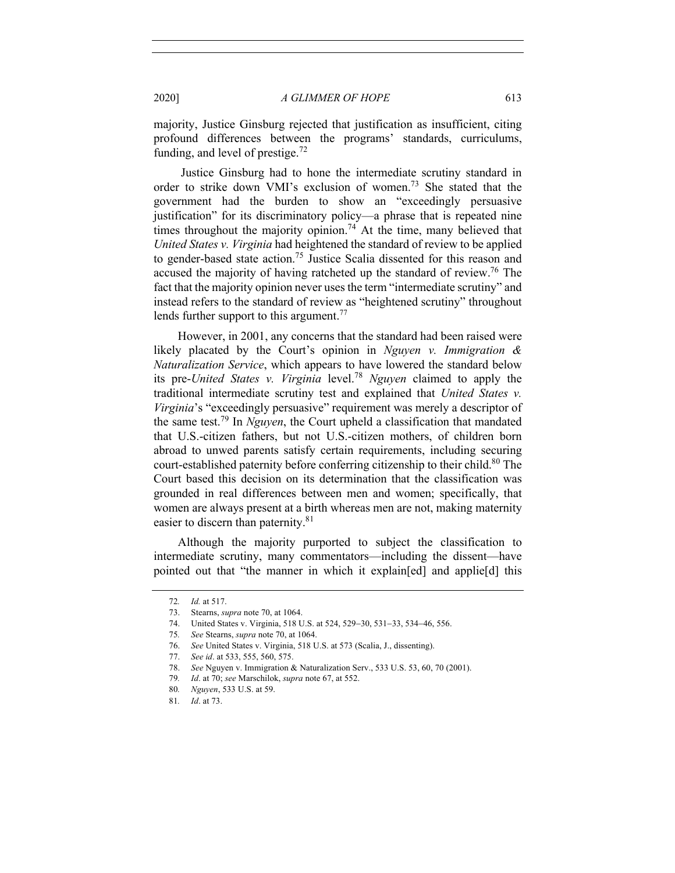majority, Justice Ginsburg rejected that justification as insufficient, citing profound differences between the programs' standards, curriculums, funding, and level of prestige.<sup>72</sup>

Justice Ginsburg had to hone the intermediate scrutiny standard in order to strike down VMI's exclusion of women.<sup>73</sup> She stated that the government had the burden to show an "exceedingly persuasive justification" for its discriminatory policy—a phrase that is repeated nine times throughout the majority opinion.<sup>74</sup> At the time, many believed that *United States v. Virginia* had heightened the standard of review to be applied to gender-based state action.75 Justice Scalia dissented for this reason and accused the majority of having ratcheted up the standard of review.<sup>76</sup> The fact that the majority opinion never uses the term "intermediate scrutiny" and instead refers to the standard of review as "heightened scrutiny" throughout lends further support to this argument.<sup>77</sup>

However, in 2001, any concerns that the standard had been raised were likely placated by the Court's opinion in *Nguyen v. Immigration & Naturalization Service*, which appears to have lowered the standard below its pre-*United States v. Virginia* level.<sup>78</sup> *Nguyen* claimed to apply the traditional intermediate scrutiny test and explained that *United States v. Virginia*'s "exceedingly persuasive" requirement was merely a descriptor of the same test.<sup>79</sup> In *Nguyen*, the Court upheld a classification that mandated that U.S.-citizen fathers, but not U.S.-citizen mothers, of children born abroad to unwed parents satisfy certain requirements, including securing court-established paternity before conferring citizenship to their child. <sup>80</sup> The Court based this decision on its determination that the classification was grounded in real differences between men and women; specifically, that women are always present at a birth whereas men are not, making maternity easier to discern than paternity.<sup>81</sup>

Although the majority purported to subject the classification to intermediate scrutiny, many commentators—including the dissent—have pointed out that "the manner in which it explain[ed] and applie[d] this

<sup>72</sup>*. Id.* at 517.

<sup>73.</sup> Stearns, *supra* note 70, at 1064.

<sup>74.</sup> United States v. Virginia, 518 U.S. at 524, 529-30, 531-33, 534-46, 556.

<sup>75</sup>*. See* Stearns, *supra* note 70, at 1064.

<sup>76.</sup> *See* United States v. Virginia, 518 U.S. at 573 (Scalia, J., dissenting).

<sup>77.</sup> *See id*. at 533, 555, 560, 575.

<sup>78.</sup> *See* Nguyen v. Immigration & Naturalization Serv., 533 U.S. 53, 60, 70 (2001).

<sup>79</sup>*. Id*. at 70; *see* Marschilok, *supra* note 67, at 552.

<sup>80</sup>*. Nguyen*, 533 U.S. at 59.

<sup>81</sup>*. Id*. at 73.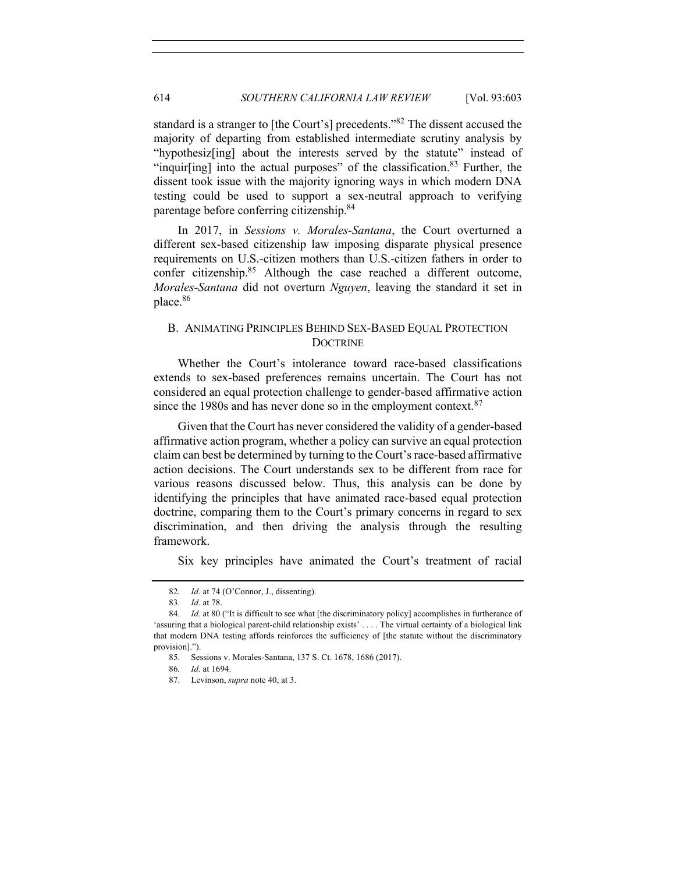standard is a stranger to [the Court's] precedents."82 The dissent accused the majority of departing from established intermediate scrutiny analysis by "hypothesiz[ing] about the interests served by the statute" instead of "inquir[ing] into the actual purposes" of the classification.<sup>83</sup> Further, the dissent took issue with the majority ignoring ways in which modern DNA testing could be used to support a sex-neutral approach to verifying parentage before conferring citizenship.84

In 2017, in *Sessions v. Morales-Santana*, the Court overturned a different sex-based citizenship law imposing disparate physical presence requirements on U.S.-citizen mothers than U.S.-citizen fathers in order to confer citizenship.<sup>85</sup> Although the case reached a different outcome, *Morales-Santana* did not overturn *Nguyen*, leaving the standard it set in place.<sup>86</sup>

# B. ANIMATING PRINCIPLES BEHIND SEX-BASED EQUAL PROTECTION **DOCTRINE**

Whether the Court's intolerance toward race-based classifications extends to sex-based preferences remains uncertain. The Court has not considered an equal protection challenge to gender-based affirmative action since the 1980s and has never done so in the employment context.<sup>87</sup>

Given that the Court has never considered the validity of a gender-based affirmative action program, whether a policy can survive an equal protection claim can best be determined by turning to the Court's race-based affirmative action decisions. The Court understands sex to be different from race for various reasons discussed below. Thus, this analysis can be done by identifying the principles that have animated race-based equal protection doctrine, comparing them to the Court's primary concerns in regard to sex discrimination, and then driving the analysis through the resulting framework.

Six key principles have animated the Court's treatment of racial

<sup>82</sup>*. Id*. at 74 (O'Connor, J., dissenting).

<sup>83</sup>*. Id*. at 78.

<sup>84</sup>*. Id.* at 80 ("It is difficult to see what [the discriminatory policy] accomplishes in furtherance of 'assuring that a biological parent-child relationship exists' . . . . The virtual certainty of a biological link that modern DNA testing affords reinforces the sufficiency of [the statute without the discriminatory provision].").

<sup>85.</sup> Sessions v. Morales-Santana, 137 S. Ct. 1678, 1686 (2017).

<sup>86</sup>*. Id*. at 1694.

<sup>87.</sup> Levinson, *supra* note 40, at 3.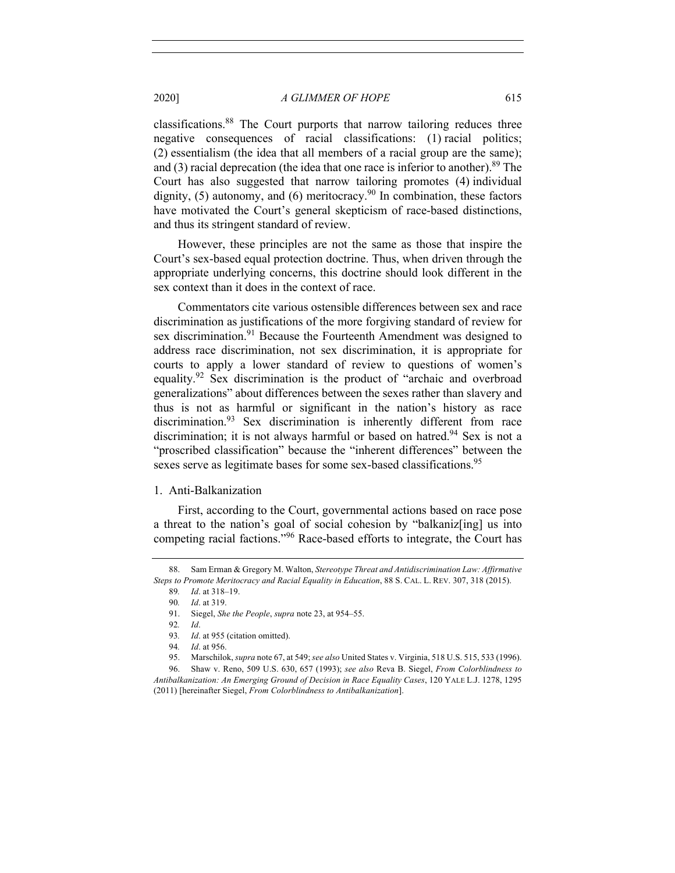classifications.88 The Court purports that narrow tailoring reduces three negative consequences of racial classifications: (1) racial politics; (2) essentialism (the idea that all members of a racial group are the same); and (3) racial deprecation (the idea that one race is inferior to another). <sup>89</sup> The Court has also suggested that narrow tailoring promotes (4) individual dignity, (5) autonomy, and (6) meritocracy.<sup>90</sup> In combination, these factors have motivated the Court's general skepticism of race-based distinctions, and thus its stringent standard of review.

However, these principles are not the same as those that inspire the Court's sex-based equal protection doctrine. Thus, when driven through the appropriate underlying concerns, this doctrine should look different in the sex context than it does in the context of race.

Commentators cite various ostensible differences between sex and race discrimination as justifications of the more forgiving standard of review for sex discrimination.<sup>91</sup> Because the Fourteenth Amendment was designed to address race discrimination, not sex discrimination, it is appropriate for courts to apply a lower standard of review to questions of women's equality.92 Sex discrimination is the product of "archaic and overbroad generalizations" about differences between the sexes rather than slavery and thus is not as harmful or significant in the nation's history as race discrimination.<sup>93</sup> Sex discrimination is inherently different from race discrimination; it is not always harmful or based on hatred.<sup>94</sup> Sex is not a "proscribed classification" because the "inherent differences" between the sexes serve as legitimate bases for some sex-based classifications.<sup>95</sup>

## 1. Anti-Balkanization

First, according to the Court, governmental actions based on race pose a threat to the nation's goal of social cohesion by "balkaniz[ing] us into competing racial factions."<sup>96</sup> Race-based efforts to integrate, the Court has

<sup>88.</sup> Sam Erman & Gregory M. Walton, *Stereotype Threat and Antidiscrimination Law: Affirmative Steps to Promote Meritocracy and Racial Equality in Education*, 88 S. CAL. L. REV. 307, 318 (2015).

<sup>89</sup>*. Id*. at 318–19.

<sup>90</sup>*. Id*. at 319.

<sup>91.</sup> Siegel, *She the People*, *supra* note 23, at 954–55.

<sup>92</sup>*. Id*.

<sup>93</sup>*. Id*. at 955 (citation omitted).

<sup>94</sup>*. Id*. at 956.

<sup>95.</sup> Marschilok, *supra* note 67, at 549; *see also* United States v. Virginia, 518 U.S. 515, 533 (1996).

<sup>96.</sup> Shaw v. Reno, 509 U.S. 630, 657 (1993); *see also* Reva B. Siegel, *From Colorblindness to Antibalkanization: An Emerging Ground of Decision in Race Equality Cases*, 120 YALE L.J. 1278, 1295 (2011) [hereinafter Siegel, *From Colorblindness to Antibalkanization*].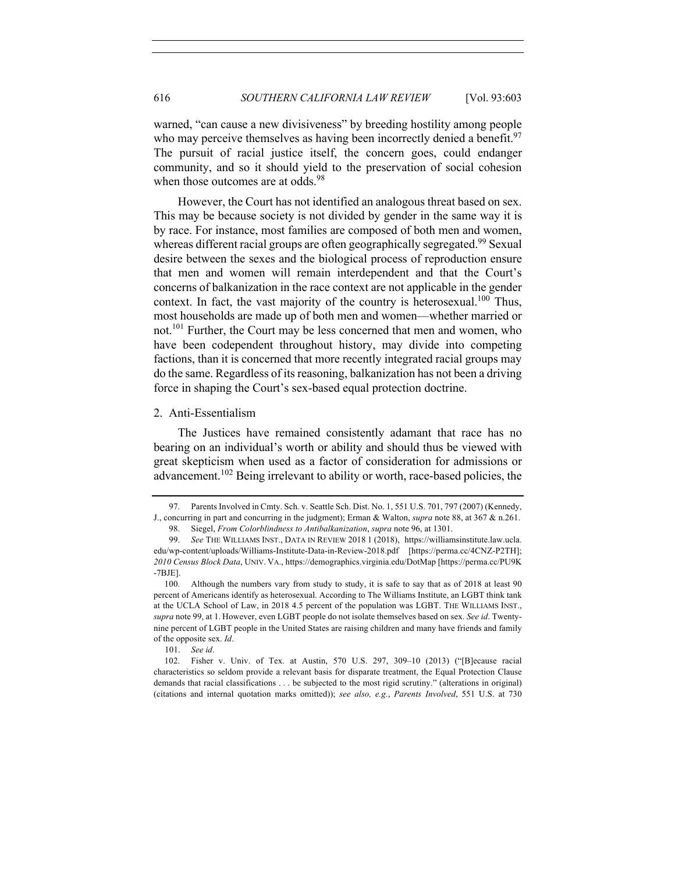warned, "can cause a new divisiveness" by breeding hostility among people who may perceive themselves as having been incorrectly denied a benefit.<sup>97</sup> The pursuit of racial justice itself, the concern goes, could endanger community, and so it should yield to the preservation of social cohesion when those outcomes are at odds.<sup>98</sup>

However, the Court has not identified an analogous threat based on sex. This may be because society is not divided by gender in the same way it is by race. For instance, most families are composed of both men and women, whereas different racial groups are often geographically segregated.<sup>99</sup> Sexual desire between the sexes and the biological process of reproduction ensure that men and women will remain interdependent and that the Court's concerns of balkanization in the race context are not applicable in the gender context. In fact, the vast majority of the country is heterosexual.<sup>100</sup> Thus, most households are made up of both men and women—whether married or not.<sup>101</sup> Further, the Court may be less concerned that men and women, who have been codependent throughout history, may divide into competing factions, than it is concerned that more recently integrated racial groups may do the same. Regardless of its reasoning, balkanization has not been a driving force in shaping the Court's sex-based equal protection doctrine.

## 2. Anti-Essentialism

The Justices have remained consistently adamant that race has no bearing on an individual's worth or ability and should thus be viewed with great skepticism when used as a factor of consideration for admissions or advancement.<sup>102</sup> Being irrelevant to ability or worth, race-based policies, the

101. *See id*.

102. Fisher v. Univ. of Tex. at Austin, 570 U.S. 297, 309–10 (2013) ("[B]ecause racial characteristics so seldom provide a relevant basis for disparate treatment, the Equal Protection Clause demands that racial classifications . . . be subjected to the most rigid scrutiny." (alterations in original) (citations and internal quotation marks omitted)); *see also, e.g.*, *Parents Involved*, 551 U.S. at 730

<sup>97.</sup> Parents Involved in Cmty. Sch. v. Seattle Sch. Dist. No. 1, 551 U.S. 701, 797 (2007) (Kennedy, J., concurring in part and concurring in the judgment); Erman & Walton, *supra* note 88, at 367 & n.261.

<sup>98.</sup> Siegel, *From Colorblindness to Antibalkanization*, *supra* note 96, at 1301.

<sup>99.</sup> *See* THE WILLIAMS INST., DATA IN REVIEW 2018 1 (2018), https://williamsinstitute.law.ucla. edu/wp-content/uploads/Williams-Institute-Data-in-Review-2018.pdf [https://perma.cc/4CNZ-P2TH]; *2010 Census Block Data*, UNIV. VA., https://demographics.virginia.edu/DotMap [https://perma.cc/PU9K -7BJE].

<sup>100.</sup> Although the numbers vary from study to study, it is safe to say that as of 2018 at least 90 percent of Americans identify as heterosexual. According to The Williams Institute, an LGBT think tank at the UCLA School of Law, in 2018 4.5 percent of the population was LGBT. THE WILLIAMS INST., *supra* note 99, at 1. However, even LGBT people do not isolate themselves based on sex. *See id*. Twentynine percent of LGBT people in the United States are raising children and many have friends and family of the opposite sex. *Id*.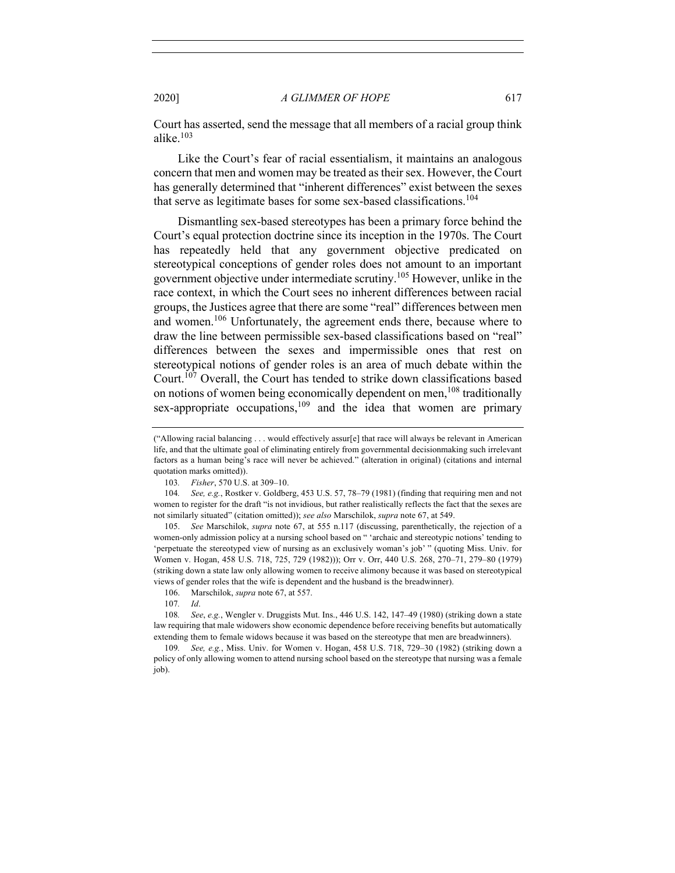Court has asserted, send the message that all members of a racial group think alike.<sup>103</sup>

Like the Court's fear of racial essentialism, it maintains an analogous concern that men and women may be treated as their sex. However, the Court has generally determined that "inherent differences" exist between the sexes that serve as legitimate bases for some sex-based classifications.<sup>104</sup>

Dismantling sex-based stereotypes has been a primary force behind the Court's equal protection doctrine since its inception in the 1970s. The Court has repeatedly held that any government objective predicated on stereotypical conceptions of gender roles does not amount to an important government objective under intermediate scrutiny.105 However, unlike in the race context, in which the Court sees no inherent differences between racial groups, the Justices agree that there are some "real" differences between men and women.<sup>106</sup> Unfortunately, the agreement ends there, because where to draw the line between permissible sex-based classifications based on "real" differences between the sexes and impermissible ones that rest on stereotypical notions of gender roles is an area of much debate within the Court.<sup>107</sup> Overall, the Court has tended to strike down classifications based on notions of women being economically dependent on men,  $108$  traditionally sex-appropriate occupations,<sup>109</sup> and the idea that women are primary

106. Marschilok, *supra* note 67, at 557.

<sup>(&</sup>quot;Allowing racial balancing . . . would effectively assur[e] that race will always be relevant in American life, and that the ultimate goal of eliminating entirely from governmental decisionmaking such irrelevant factors as a human being's race will never be achieved." (alteration in original) (citations and internal quotation marks omitted)).

<sup>103</sup>*. Fisher*, 570 U.S. at 309–10.

<sup>104</sup>*. See, e.g.*, Rostker v. Goldberg, 453 U.S. 57, 78–79 (1981) (finding that requiring men and not women to register for the draft "is not invidious, but rather realistically reflects the fact that the sexes are not similarly situated" (citation omitted)); *see also* Marschilok, *supra* note 67, at 549.

<sup>105.</sup> *See* Marschilok, *supra* note 67, at 555 n.117 (discussing, parenthetically, the rejection of a women-only admission policy at a nursing school based on " 'archaic and stereotypic notions' tending to 'perpetuate the stereotyped view of nursing as an exclusively woman's job' " (quoting Miss. Univ. for Women v. Hogan, 458 U.S. 718, 725, 729 (1982))); Orr v. Orr, 440 U.S. 268, 270–71, 279–80 (1979) (striking down a state law only allowing women to receive alimony because it was based on stereotypical views of gender roles that the wife is dependent and the husband is the breadwinner).

<sup>107</sup>*. Id*.

<sup>108</sup>*. See*, *e.g.*, Wengler v. Druggists Mut. Ins., 446 U.S. 142, 147–49 (1980) (striking down a state law requiring that male widowers show economic dependence before receiving benefits but automatically extending them to female widows because it was based on the stereotype that men are breadwinners).

<sup>109</sup>*. See, e.g.*, Miss. Univ. for Women v. Hogan, 458 U.S. 718, 729–30 (1982) (striking down a policy of only allowing women to attend nursing school based on the stereotype that nursing was a female job).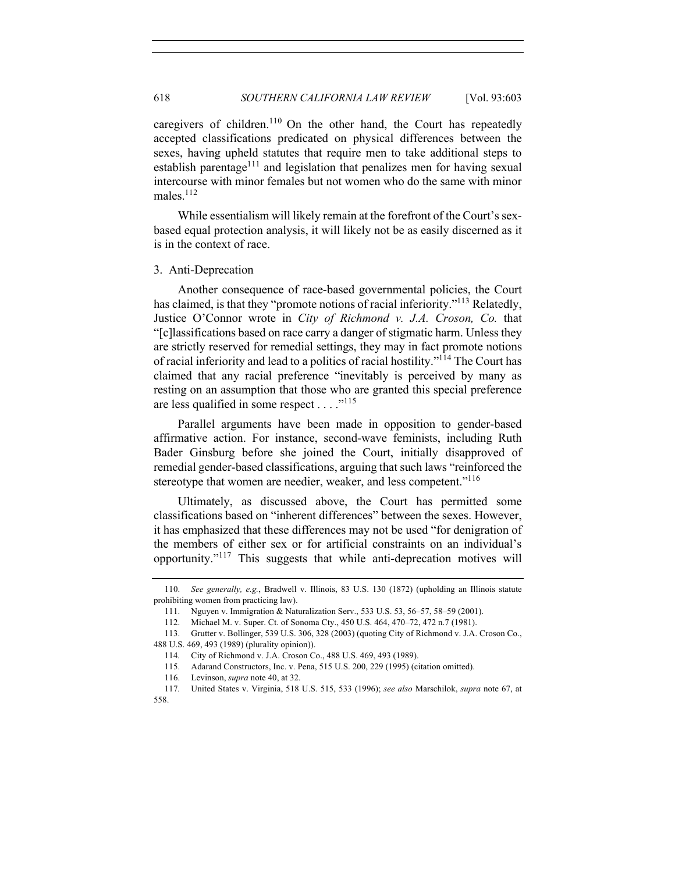caregivers of children.<sup>110</sup> On the other hand, the Court has repeatedly accepted classifications predicated on physical differences between the sexes, having upheld statutes that require men to take additional steps to establish parentage<sup>111</sup> and legislation that penalizes men for having sexual intercourse with minor females but not women who do the same with minor males.112

While essentialism will likely remain at the forefront of the Court's sexbased equal protection analysis, it will likely not be as easily discerned as it is in the context of race.

#### 3. Anti-Deprecation

Another consequence of race-based governmental policies, the Court has claimed, is that they "promote notions of racial inferiority."<sup>113</sup> Relatedly, Justice O'Connor wrote in *City of Richmond v. J.A. Croson, Co.* that "[c]lassifications based on race carry a danger of stigmatic harm. Unless they are strictly reserved for remedial settings, they may in fact promote notions of racial inferiority and lead to a politics of racial hostility."114 The Court has claimed that any racial preference "inevitably is perceived by many as resting on an assumption that those who are granted this special preference are less qualified in some respect . . . ."115

Parallel arguments have been made in opposition to gender-based affirmative action. For instance, second-wave feminists, including Ruth Bader Ginsburg before she joined the Court, initially disapproved of remedial gender-based classifications, arguing that such laws "reinforced the stereotype that women are needier, weaker, and less competent."<sup>116</sup>

Ultimately, as discussed above, the Court has permitted some classifications based on "inherent differences" between the sexes. However, it has emphasized that these differences may not be used "for denigration of the members of either sex or for artificial constraints on an individual's opportunity."<sup>117</sup> This suggests that while anti-deprecation motives will

<sup>110.</sup> *See generally, e.g.*, Bradwell v. Illinois, 83 U.S. 130 (1872) (upholding an Illinois statute prohibiting women from practicing law).

<sup>111.</sup> Nguyen v. Immigration & Naturalization Serv., 533 U.S. 53, 56–57, 58–59 (2001).

<sup>112.</sup> Michael M. v. Super. Ct. of Sonoma Cty., 450 U.S. 464, 470–72, 472 n.7 (1981).

<sup>113.</sup> Grutter v. Bollinger, 539 U.S. 306, 328 (2003) (quoting City of Richmond v. J.A. Croson Co., 488 U.S. 469, 493 (1989) (plurality opinion)).

<sup>114</sup>*.* City of Richmond v. J.A. Croson Co., 488 U.S. 469, 493 (1989).

<sup>115.</sup> Adarand Constructors, Inc. v. Pena, 515 U.S. 200, 229 (1995) (citation omitted).

<sup>116.</sup> Levinson, *supra* note 40, at 32.

<sup>117</sup>*.* United States v. Virginia, 518 U.S. 515, 533 (1996); *see also* Marschilok, *supra* note 67, at 558.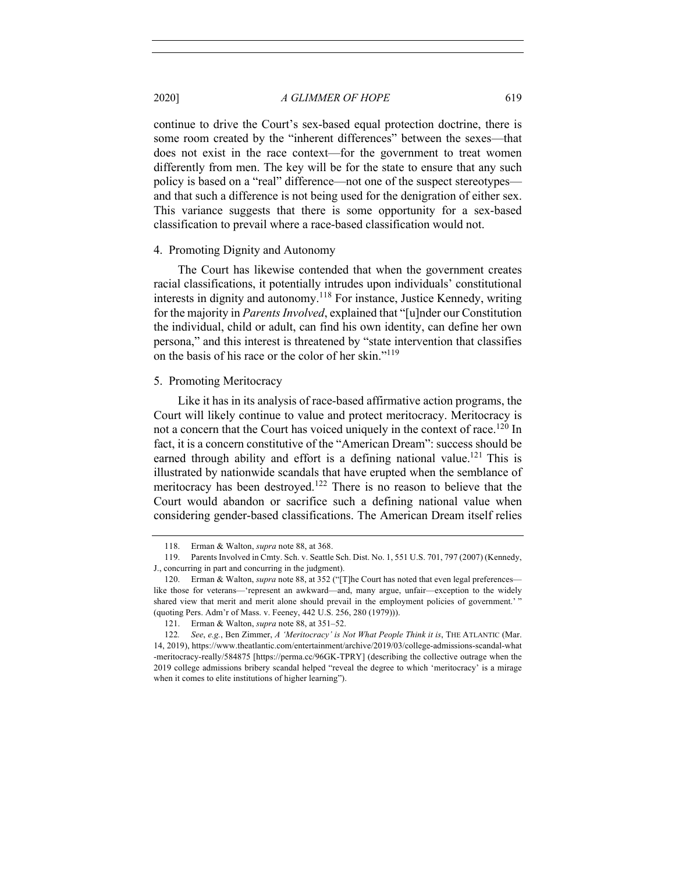continue to drive the Court's sex-based equal protection doctrine, there is some room created by the "inherent differences" between the sexes—that does not exist in the race context—for the government to treat women differently from men. The key will be for the state to ensure that any such policy is based on a "real" difference—not one of the suspect stereotypes and that such a difference is not being used for the denigration of either sex. This variance suggests that there is some opportunity for a sex-based classification to prevail where a race-based classification would not.

#### 4. Promoting Dignity and Autonomy

The Court has likewise contended that when the government creates racial classifications, it potentially intrudes upon individuals' constitutional interests in dignity and autonomy.<sup>118</sup> For instance, Justice Kennedy, writing for the majority in *Parents Involved*, explained that "[u]nder our Constitution the individual, child or adult, can find his own identity, can define her own persona," and this interest is threatened by "state intervention that classifies on the basis of his race or the color of her skin."119

## 5. Promoting Meritocracy

Like it has in its analysis of race-based affirmative action programs, the Court will likely continue to value and protect meritocracy. Meritocracy is not a concern that the Court has voiced uniquely in the context of race.<sup>120</sup> In fact, it is a concern constitutive of the "American Dream": success should be earned through ability and effort is a defining national value.<sup>121</sup> This is illustrated by nationwide scandals that have erupted when the semblance of meritocracy has been destroyed.<sup>122</sup> There is no reason to believe that the Court would abandon or sacrifice such a defining national value when considering gender-based classifications. The American Dream itself relies

<sup>118.</sup> Erman & Walton, *supra* note 88, at 368.

<sup>119.</sup> Parents Involved in Cmty. Sch. v. Seattle Sch. Dist. No. 1, 551 U.S. 701, 797 (2007) (Kennedy, J., concurring in part and concurring in the judgment).

<sup>120.</sup> Erman & Walton, *supra* note 88, at 352 ("[T]he Court has noted that even legal preferences like those for veterans—'represent an awkward—and, many argue, unfair—exception to the widely shared view that merit and merit alone should prevail in the employment policies of government.' " (quoting Pers. Adm'r of Mass. v. Feeney, 442 U.S. 256, 280 (1979))).

<sup>121.</sup> Erman & Walton, *supra* note 88, at 351–52.

<sup>122</sup>*. See*, *e.g.*, Ben Zimmer, *A 'Meritocracy' is Not What People Think it is*, THE ATLANTIC (Mar. 14, 2019), https://www.theatlantic.com/entertainment/archive/2019/03/college-admissions-scandal-what -meritocracy-really/584875 [https://perma.cc/96GK-TPRY] (describing the collective outrage when the 2019 college admissions bribery scandal helped "reveal the degree to which 'meritocracy' is a mirage when it comes to elite institutions of higher learning").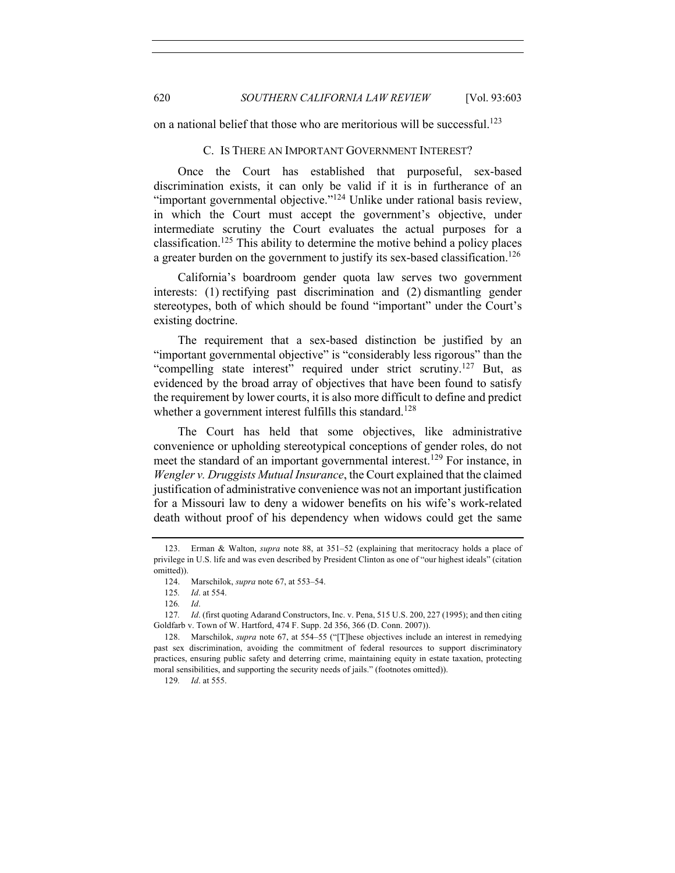on a national belief that those who are meritorious will be successful.<sup>123</sup>

## C. IS THERE AN IMPORTANT GOVERNMENT INTEREST?

Once the Court has established that purposeful, sex-based discrimination exists, it can only be valid if it is in furtherance of an "important governmental objective."<sup>124</sup> Unlike under rational basis review, in which the Court must accept the government's objective, under intermediate scrutiny the Court evaluates the actual purposes for a classification.125 This ability to determine the motive behind a policy places a greater burden on the government to justify its sex-based classification.<sup>126</sup>

California's boardroom gender quota law serves two government interests: (1) rectifying past discrimination and (2) dismantling gender stereotypes, both of which should be found "important" under the Court's existing doctrine.

The requirement that a sex-based distinction be justified by an "important governmental objective" is "considerably less rigorous" than the "compelling state interest" required under strict scrutiny.<sup>127</sup> But, as evidenced by the broad array of objectives that have been found to satisfy the requirement by lower courts, it is also more difficult to define and predict whether a government interest fulfills this standard.<sup>128</sup>

The Court has held that some objectives, like administrative convenience or upholding stereotypical conceptions of gender roles, do not meet the standard of an important governmental interest.<sup>129</sup> For instance, in *Wengler v. Druggists Mutual Insurance*, the Court explained that the claimed justification of administrative convenience was not an important justification for a Missouri law to deny a widower benefits on his wife's work-related death without proof of his dependency when widows could get the same

<sup>123.</sup> Erman & Walton, *supra* note 88, at 351–52 (explaining that meritocracy holds a place of privilege in U.S. life and was even described by President Clinton as one of "our highest ideals" (citation omitted)).

<sup>124.</sup> Marschilok, *supra* note 67, at 553–54.

<sup>125</sup>*. Id*. at 554.

<sup>126</sup>*. Id*.

<sup>127</sup>*. Id*. (first quoting Adarand Constructors, Inc. v. Pena, 515 U.S. 200, 227 (1995); and then citing Goldfarb v. Town of W. Hartford, 474 F. Supp. 2d 356, 366 (D. Conn. 2007)).

<sup>128.</sup> Marschilok, *supra* note 67, at 554–55 ("[T]hese objectives include an interest in remedying past sex discrimination, avoiding the commitment of federal resources to support discriminatory practices, ensuring public safety and deterring crime, maintaining equity in estate taxation, protecting moral sensibilities, and supporting the security needs of jails." (footnotes omitted)).

<sup>129</sup>*. Id*. at 555.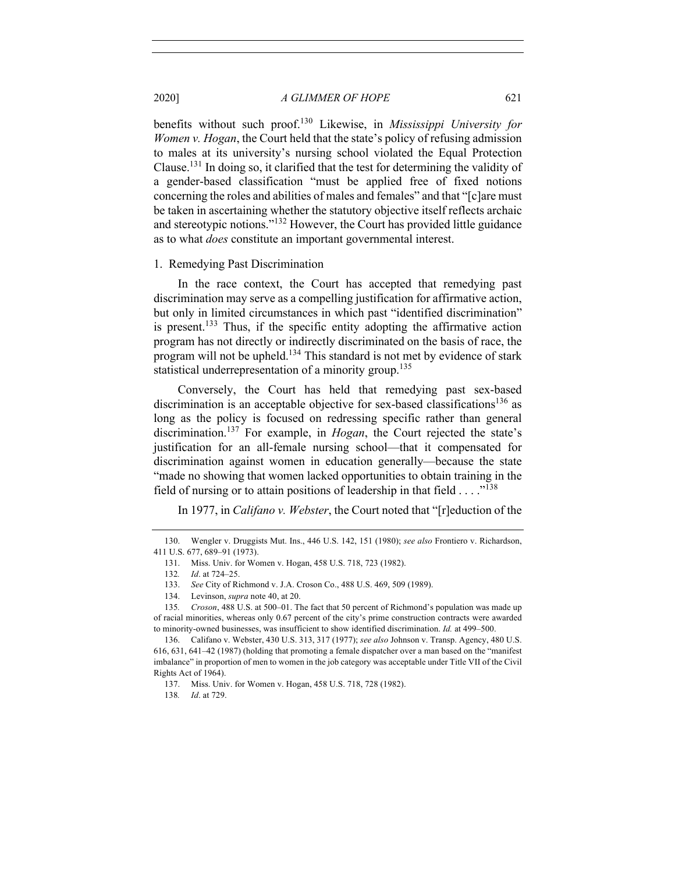benefits without such proof.130 Likewise, in *Mississippi University for Women v. Hogan*, the Court held that the state's policy of refusing admission to males at its university's nursing school violated the Equal Protection Clause.131 In doing so, it clarified that the test for determining the validity of a gender-based classification "must be applied free of fixed notions concerning the roles and abilities of males and females" and that "[c]are must be taken in ascertaining whether the statutory objective itself reflects archaic and stereotypic notions."<sup>132</sup> However, the Court has provided little guidance as to what *does* constitute an important governmental interest.

#### 1. Remedying Past Discrimination

In the race context, the Court has accepted that remedying past discrimination may serve as a compelling justification for affirmative action, but only in limited circumstances in which past "identified discrimination" is present.<sup>133</sup> Thus, if the specific entity adopting the affirmative action program has not directly or indirectly discriminated on the basis of race, the program will not be upheld.<sup>134</sup> This standard is not met by evidence of stark statistical underrepresentation of a minority group.<sup>135</sup>

Conversely, the Court has held that remedying past sex-based discrimination is an acceptable objective for sex-based classifications<sup>136</sup> as long as the policy is focused on redressing specific rather than general discrimination.137 For example, in *Hogan*, the Court rejected the state's justification for an all-female nursing school—that it compensated for discrimination against women in education generally—because the state "made no showing that women lacked opportunities to obtain training in the field of nursing or to attain positions of leadership in that field . . . . "<sup>138</sup>

# In 1977, in *Califano v. Webster*, the Court noted that "[r]eduction of the

<sup>130.</sup> Wengler v. Druggists Mut. Ins., 446 U.S. 142, 151 (1980); *see also* Frontiero v. Richardson, 411 U.S. 677, 689–91 (1973).

<sup>131.</sup> Miss. Univ. for Women v. Hogan, 458 U.S. 718, 723 (1982).

<sup>132</sup>*. Id*. at 724–25.

<sup>133.</sup> *See* City of Richmond v. J.A. Croson Co., 488 U.S. 469, 509 (1989).

<sup>134.</sup> Levinson, *supra* note 40, at 20.

<sup>135</sup>*. Croson*, 488 U.S. at 500–01. The fact that 50 percent of Richmond's population was made up of racial minorities, whereas only 0.67 percent of the city's prime construction contracts were awarded to minority-owned businesses, was insufficient to show identified discrimination. *Id.* at 499–500.

<sup>136.</sup> Califano v. Webster, 430 U.S. 313, 317 (1977); *see also* Johnson v. Transp. Agency, 480 U.S. 616, 631, 641–42 (1987) (holding that promoting a female dispatcher over a man based on the "manifest imbalance" in proportion of men to women in the job category was acceptable under Title VII of the Civil Rights Act of 1964).

<sup>137.</sup> Miss. Univ. for Women v. Hogan, 458 U.S. 718, 728 (1982).

<sup>138</sup>*. Id*. at 729.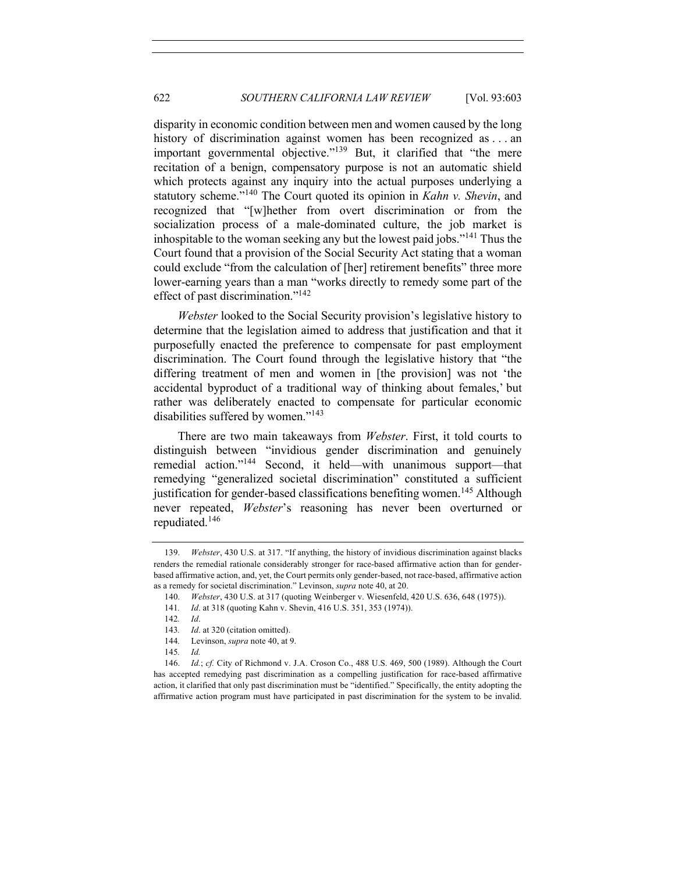disparity in economic condition between men and women caused by the long history of discrimination against women has been recognized as ... an important governmental objective."<sup>139</sup> But, it clarified that "the mere recitation of a benign, compensatory purpose is not an automatic shield which protects against any inquiry into the actual purposes underlying a statutory scheme."<sup>140</sup> The Court quoted its opinion in *Kahn v. Shevin*, and recognized that "[w]hether from overt discrimination or from the socialization process of a male-dominated culture, the job market is inhospitable to the woman seeking any but the lowest paid jobs."<sup>141</sup> Thus the Court found that a provision of the Social Security Act stating that a woman could exclude "from the calculation of [her] retirement benefits" three more lower-earning years than a man "works directly to remedy some part of the effect of past discrimination."<sup>142</sup>

*Webster* looked to the Social Security provision's legislative history to determine that the legislation aimed to address that justification and that it purposefully enacted the preference to compensate for past employment discrimination. The Court found through the legislative history that "the differing treatment of men and women in [the provision] was not 'the accidental byproduct of a traditional way of thinking about females,' but rather was deliberately enacted to compensate for particular economic disabilities suffered by women."<sup>143</sup>

There are two main takeaways from *Webster*. First, it told courts to distinguish between "invidious gender discrimination and genuinely remedial action."<sup>144</sup> Second, it held—with unanimous support—that remedying "generalized societal discrimination" constituted a sufficient justification for gender-based classifications benefiting women.<sup>145</sup> Although never repeated, *Webster*'s reasoning has never been overturned or repudiated.<sup>146</sup>

<sup>139.</sup> *Webster*, 430 U.S. at 317. "If anything, the history of invidious discrimination against blacks renders the remedial rationale considerably stronger for race-based affirmative action than for genderbased affirmative action, and, yet, the Court permits only gender-based, not race-based, affirmative action as a remedy for societal discrimination." Levinson, *supra* note 40, at 20.

<sup>140.</sup> *Webster*, 430 U.S. at 317 (quoting Weinberger v. Wiesenfeld, 420 U.S. 636, 648 (1975)).

<sup>141</sup>*. Id*. at 318 (quoting Kahn v. Shevin, 416 U.S. 351, 353 (1974)).

<sup>142</sup>*. Id*.

<sup>143</sup>*. Id*. at 320 (citation omitted).

<sup>144</sup>*.* Levinson, *supra* note 40, at 9.

<sup>145</sup>*. Id.*

<sup>146.</sup> *Id.*; *cf.* City of Richmond v. J.A. Croson Co., 488 U.S. 469, 500 (1989). Although the Court has accepted remedying past discrimination as a compelling justification for race-based affirmative action, it clarified that only past discrimination must be "identified." Specifically, the entity adopting the affirmative action program must have participated in past discrimination for the system to be invalid.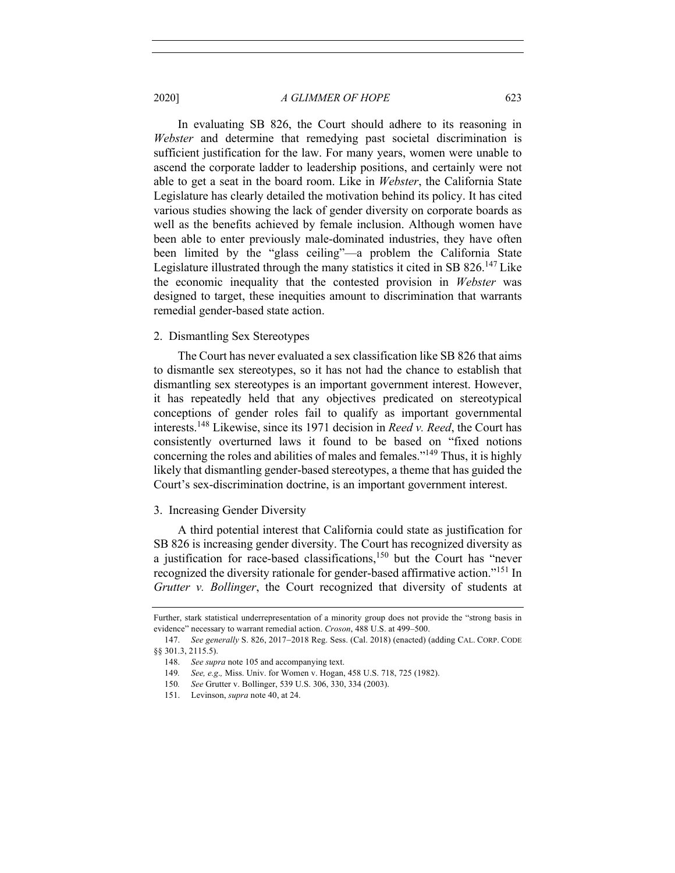In evaluating SB 826, the Court should adhere to its reasoning in *Webster* and determine that remedying past societal discrimination is sufficient justification for the law. For many years, women were unable to ascend the corporate ladder to leadership positions, and certainly were not able to get a seat in the board room. Like in *Webster*, the California State Legislature has clearly detailed the motivation behind its policy. It has cited various studies showing the lack of gender diversity on corporate boards as well as the benefits achieved by female inclusion. Although women have been able to enter previously male-dominated industries, they have often been limited by the "glass ceiling"—a problem the California State Legislature illustrated through the many statistics it cited in SB  $826<sup>147</sup>$  Like the economic inequality that the contested provision in *Webster* was designed to target, these inequities amount to discrimination that warrants remedial gender-based state action.

## 2. Dismantling Sex Stereotypes

The Court has never evaluated a sex classification like SB 826 that aims to dismantle sex stereotypes, so it has not had the chance to establish that dismantling sex stereotypes is an important government interest. However, it has repeatedly held that any objectives predicated on stereotypical conceptions of gender roles fail to qualify as important governmental interests.148 Likewise, since its 1971 decision in *Reed v. Reed*, the Court has consistently overturned laws it found to be based on "fixed notions concerning the roles and abilities of males and females."149 Thus, it is highly likely that dismantling gender-based stereotypes, a theme that has guided the Court's sex-discrimination doctrine, is an important government interest.

## 3. Increasing Gender Diversity

A third potential interest that California could state as justification for SB 826 is increasing gender diversity. The Court has recognized diversity as a justification for race-based classifications, $150$  but the Court has "never recognized the diversity rationale for gender-based affirmative action."<sup>151</sup> In *Grutter v. Bollinger*, the Court recognized that diversity of students at

Further, stark statistical underrepresentation of a minority group does not provide the "strong basis in evidence" necessary to warrant remedial action. *Croson*, 488 U.S. at 499–500.

<sup>147.</sup> *See generally* S. 826, 2017-2018 Reg. Sess. (Cal. 2018) (enacted) (adding CAL. CORP. CODE §§ 301.3, 2115.5).

<sup>148.</sup> *See supra* note 105 and accompanying text.

<sup>149</sup>*. See, e.g*.*,* Miss. Univ. for Women v. Hogan, 458 U.S. 718, 725 (1982).

<sup>150</sup>*. See* Grutter v. Bollinger, 539 U.S. 306, 330, 334 (2003).

<sup>151.</sup> Levinson, *supra* note 40, at 24.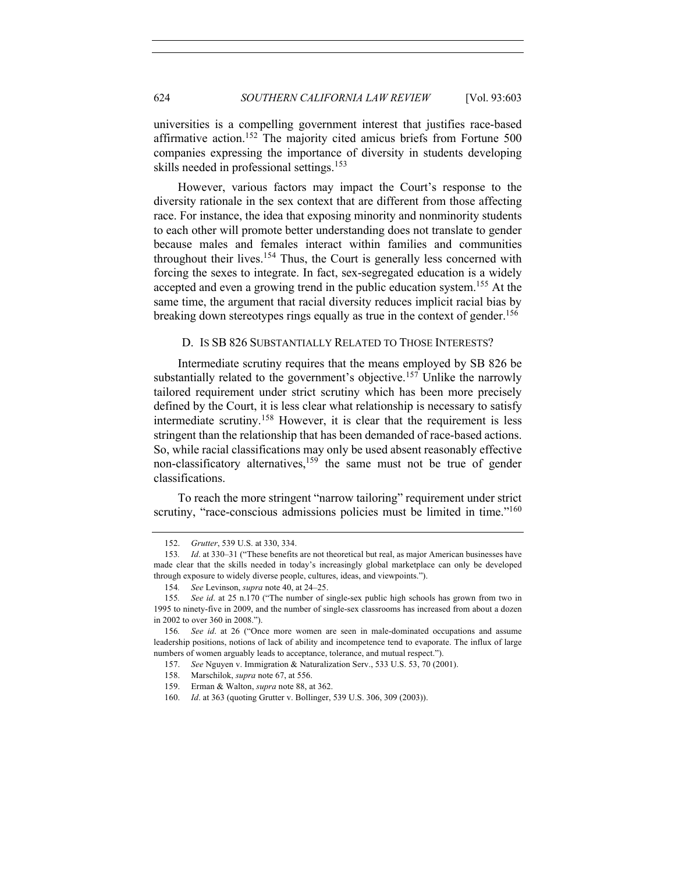universities is a compelling government interest that justifies race-based affirmative action.<sup>152</sup> The majority cited amicus briefs from Fortune 500 companies expressing the importance of diversity in students developing skills needed in professional settings.<sup>153</sup>

However, various factors may impact the Court's response to the diversity rationale in the sex context that are different from those affecting race. For instance, the idea that exposing minority and nonminority students to each other will promote better understanding does not translate to gender because males and females interact within families and communities throughout their lives.<sup>154</sup> Thus, the Court is generally less concerned with forcing the sexes to integrate. In fact, sex-segregated education is a widely accepted and even a growing trend in the public education system.<sup>155</sup> At the same time, the argument that racial diversity reduces implicit racial bias by breaking down stereotypes rings equally as true in the context of gender.<sup>156</sup>

#### D. IS SB 826 SUBSTANTIALLY RELATED TO THOSE INTERESTS?

Intermediate scrutiny requires that the means employed by SB 826 be substantially related to the government's objective.<sup>157</sup> Unlike the narrowly tailored requirement under strict scrutiny which has been more precisely defined by the Court, it is less clear what relationship is necessary to satisfy intermediate scrutiny.<sup>158</sup> However, it is clear that the requirement is less stringent than the relationship that has been demanded of race-based actions. So, while racial classifications may only be used absent reasonably effective non-classificatory alternatives,159 the same must not be true of gender classifications.

To reach the more stringent "narrow tailoring" requirement under strict scrutiny, "race-conscious admissions policies must be limited in time."<sup>160</sup>

<sup>152.</sup> *Grutter*, 539 U.S. at 330, 334.

<sup>153</sup>*. Id*. at 330–31 ("These benefits are not theoretical but real, as major American businesses have made clear that the skills needed in today's increasingly global marketplace can only be developed through exposure to widely diverse people, cultures, ideas, and viewpoints.").

<sup>154</sup>*. See* Levinson, *supra* note 40, at 24–25.

<sup>155</sup>*. See id*. at 25 n.170 ("The number of single-sex public high schools has grown from two in 1995 to ninety-five in 2009, and the number of single-sex classrooms has increased from about a dozen in 2002 to over 360 in 2008.").

<sup>156</sup>*. See id*. at 26 ("Once more women are seen in male-dominated occupations and assume leadership positions, notions of lack of ability and incompetence tend to evaporate. The influx of large numbers of women arguably leads to acceptance, tolerance, and mutual respect.").

<sup>157.</sup> *See* Nguyen v. Immigration & Naturalization Serv., 533 U.S. 53, 70 (2001).

<sup>158.</sup> Marschilok, *supra* note 67, at 556.

<sup>159.</sup> Erman & Walton, *supra* note 88, at 362.

<sup>160.</sup> *Id*. at 363 (quoting Grutter v. Bollinger, 539 U.S. 306, 309 (2003)).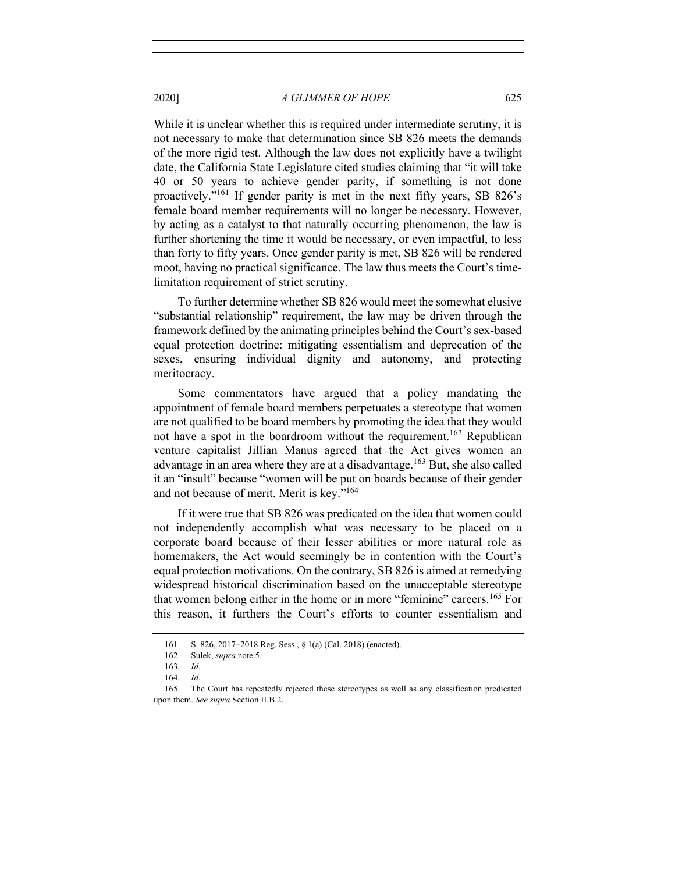While it is unclear whether this is required under intermediate scrutiny, it is not necessary to make that determination since SB 826 meets the demands of the more rigid test. Although the law does not explicitly have a twilight date, the California State Legislature cited studies claiming that "it will take 40 or 50 years to achieve gender parity, if something is not done proactively."161 If gender parity is met in the next fifty years, SB 826's female board member requirements will no longer be necessary. However, by acting as a catalyst to that naturally occurring phenomenon, the law is further shortening the time it would be necessary, or even impactful, to less than forty to fifty years. Once gender parity is met, SB 826 will be rendered moot, having no practical significance. The law thus meets the Court's timelimitation requirement of strict scrutiny.

To further determine whether SB 826 would meet the somewhat elusive "substantial relationship" requirement, the law may be driven through the framework defined by the animating principles behind the Court's sex-based equal protection doctrine: mitigating essentialism and deprecation of the sexes, ensuring individual dignity and autonomy, and protecting meritocracy.

Some commentators have argued that a policy mandating the appointment of female board members perpetuates a stereotype that women are not qualified to be board members by promoting the idea that they would not have a spot in the boardroom without the requirement.<sup>162</sup> Republican venture capitalist Jillian Manus agreed that the Act gives women an advantage in an area where they are at a disadvantage.<sup>163</sup> But, she also called it an "insult" because "women will be put on boards because of their gender and not because of merit. Merit is key."164

If it were true that SB 826 was predicated on the idea that women could not independently accomplish what was necessary to be placed on a corporate board because of their lesser abilities or more natural role as homemakers, the Act would seemingly be in contention with the Court's equal protection motivations. On the contrary, SB 826 is aimed at remedying widespread historical discrimination based on the unacceptable stereotype that women belong either in the home or in more "feminine" careers. <sup>165</sup> For this reason, it furthers the Court's efforts to counter essentialism and

<sup>161.</sup> S. 826, 2017-2018 Reg. Sess., § 1(a) (Cal. 2018) (enacted).

<sup>162.</sup> Sulek, *supra* note 5.

<sup>163</sup>*. Id*.

<sup>164</sup>*. Id*.

<sup>165.</sup> The Court has repeatedly rejected these stereotypes as well as any classification predicated upon them. *See supra* Section II.B.2.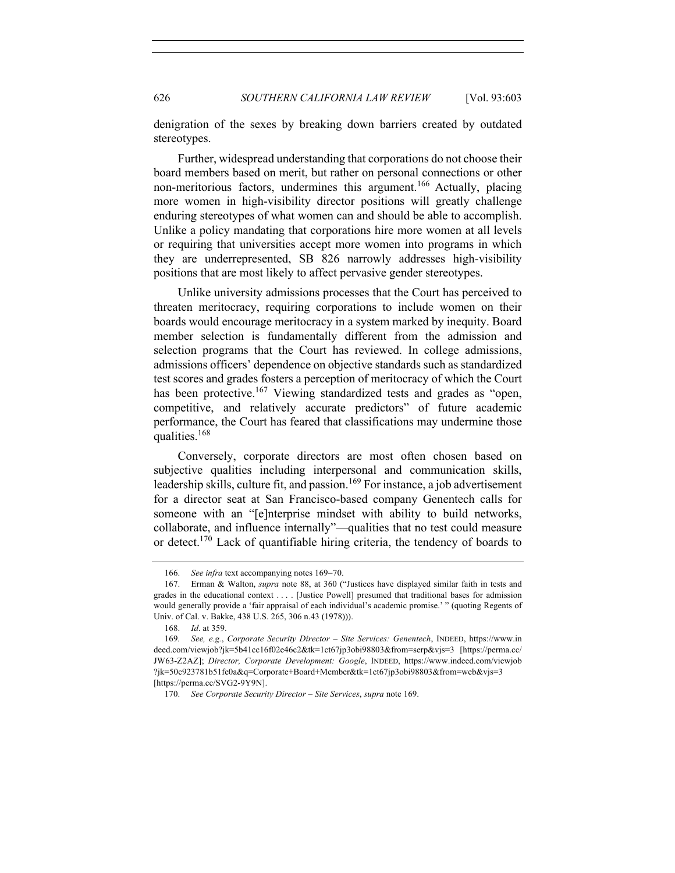denigration of the sexes by breaking down barriers created by outdated stereotypes.

Further, widespread understanding that corporations do not choose their board members based on merit, but rather on personal connections or other non-meritorious factors, undermines this argument.<sup>166</sup> Actually, placing more women in high-visibility director positions will greatly challenge enduring stereotypes of what women can and should be able to accomplish. Unlike a policy mandating that corporations hire more women at all levels or requiring that universities accept more women into programs in which they are underrepresented, SB 826 narrowly addresses high-visibility positions that are most likely to affect pervasive gender stereotypes.

Unlike university admissions processes that the Court has perceived to threaten meritocracy, requiring corporations to include women on their boards would encourage meritocracy in a system marked by inequity. Board member selection is fundamentally different from the admission and selection programs that the Court has reviewed. In college admissions, admissions officers' dependence on objective standards such as standardized test scores and grades fosters a perception of meritocracy of which the Court has been protective.<sup>167</sup> Viewing standardized tests and grades as "open, competitive, and relatively accurate predictors" of future academic performance, the Court has feared that classifications may undermine those qualities.<sup>168</sup>

Conversely, corporate directors are most often chosen based on subjective qualities including interpersonal and communication skills, leadership skills, culture fit, and passion.<sup>169</sup> For instance, a job advertisement for a director seat at San Francisco-based company Genentech calls for someone with an "[e]nterprise mindset with ability to build networks, collaborate, and influence internally"—qualities that no test could measure or detect.<sup>170</sup> Lack of quantifiable hiring criteria, the tendency of boards to

<sup>166.</sup> *See infra* text accompanying notes 169-70.

<sup>167.</sup> Erman & Walton, *supra* note 88, at 360 ("Justices have displayed similar faith in tests and grades in the educational context . . . . [Justice Powell] presumed that traditional bases for admission would generally provide a 'fair appraisal of each individual's academic promise.' " (quoting Regents of Univ. of Cal. v. Bakke, 438 U.S. 265, 306 n.43 (1978))).

<sup>168.</sup> *Id*. at 359.

<sup>169</sup>*. See, e.g.*, *Corporate Security Director – Site Services: Genentech*, INDEED, https://www.in deed.com/viewjob?jk=5b41cc16f02e46c2&tk=1ct67jp3obi98803&from=serp&vjs=3 [https://perma.cc/ JW63-Z2AZ]; *Director, Corporate Development: Google*, INDEED, https://www.indeed.com/viewjob ?jk=50c923781b51fe0a&q=Corporate+Board+Member&tk=1ct67jp3obi98803&from=web&vjs=3 [https://perma.cc/SVG2-9Y9N].

<sup>170.</sup> *See Corporate Security Director – Site Services*, *supra* note 169.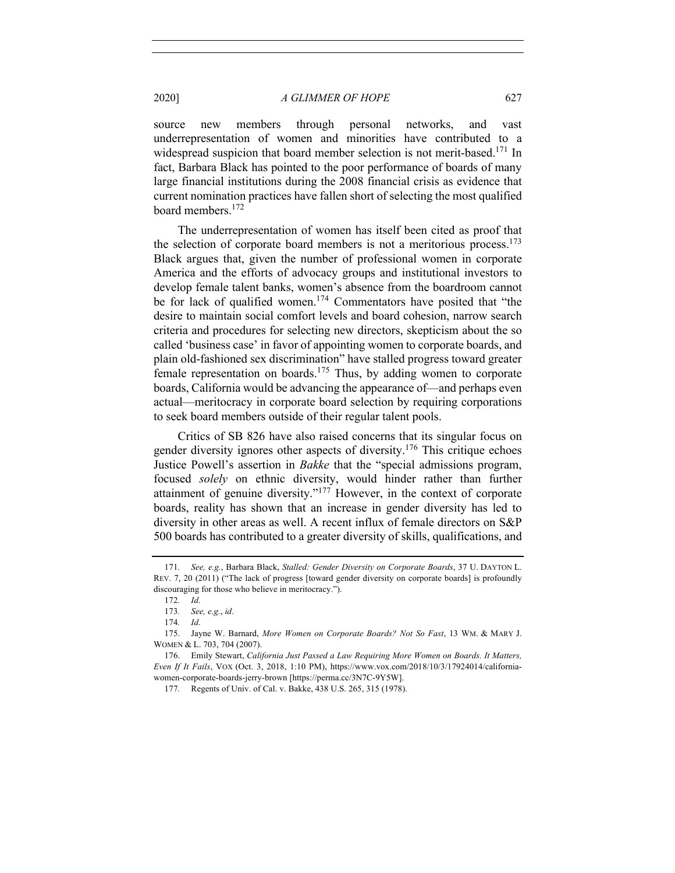source new members through personal networks, and vast underrepresentation of women and minorities have contributed to a widespread suspicion that board member selection is not merit-based.<sup>171</sup> In fact, Barbara Black has pointed to the poor performance of boards of many large financial institutions during the 2008 financial crisis as evidence that current nomination practices have fallen short of selecting the most qualified board members.<sup>172</sup>

The underrepresentation of women has itself been cited as proof that the selection of corporate board members is not a meritorious process.<sup>173</sup> Black argues that, given the number of professional women in corporate America and the efforts of advocacy groups and institutional investors to develop female talent banks, women's absence from the boardroom cannot be for lack of qualified women.174 Commentators have posited that "the desire to maintain social comfort levels and board cohesion, narrow search criteria and procedures for selecting new directors, skepticism about the so called 'business case' in favor of appointing women to corporate boards, and plain old-fashioned sex discrimination" have stalled progress toward greater female representation on boards.<sup>175</sup> Thus, by adding women to corporate boards, California would be advancing the appearance of—and perhaps even actual—meritocracy in corporate board selection by requiring corporations to seek board members outside of their regular talent pools.

Critics of SB 826 have also raised concerns that its singular focus on gender diversity ignores other aspects of diversity.<sup>176</sup> This critique echoes Justice Powell's assertion in *Bakke* that the "special admissions program, focused *solely* on ethnic diversity, would hinder rather than further attainment of genuine diversity."<sup>177</sup> However, in the context of corporate boards, reality has shown that an increase in gender diversity has led to diversity in other areas as well. A recent influx of female directors on S&P 500 boards has contributed to a greater diversity of skills, qualifications, and

<sup>171</sup>*. See, e.g.*, Barbara Black, *Stalled: Gender Diversity on Corporate Boards*, 37 U. DAYTON L. REV. 7, 20 (2011) ("The lack of progress [toward gender diversity on corporate boards] is profoundly discouraging for those who believe in meritocracy.").

<sup>172</sup>*. Id*.

<sup>173</sup>*. See, e.g.*, *id*.

<sup>174</sup>*. Id*.

<sup>175.</sup> Jayne W. Barnard, *More Women on Corporate Boards? Not So Fast*, 13 WM. & MARY J. WOMEN & L. 703, 704 (2007).

<sup>176.</sup> Emily Stewart, *California Just Passed a Law Requiring More Women on Boards. It Matters, Even If It Fails*, VOX (Oct. 3, 2018, 1:10 PM), https://www.vox.com/2018/10/3/17924014/californiawomen-corporate-boards-jerry-brown [https://perma.cc/3N7C-9Y5W].

<sup>177</sup>*.* Regents of Univ. of Cal. v. Bakke, 438 U.S. 265, 315 (1978).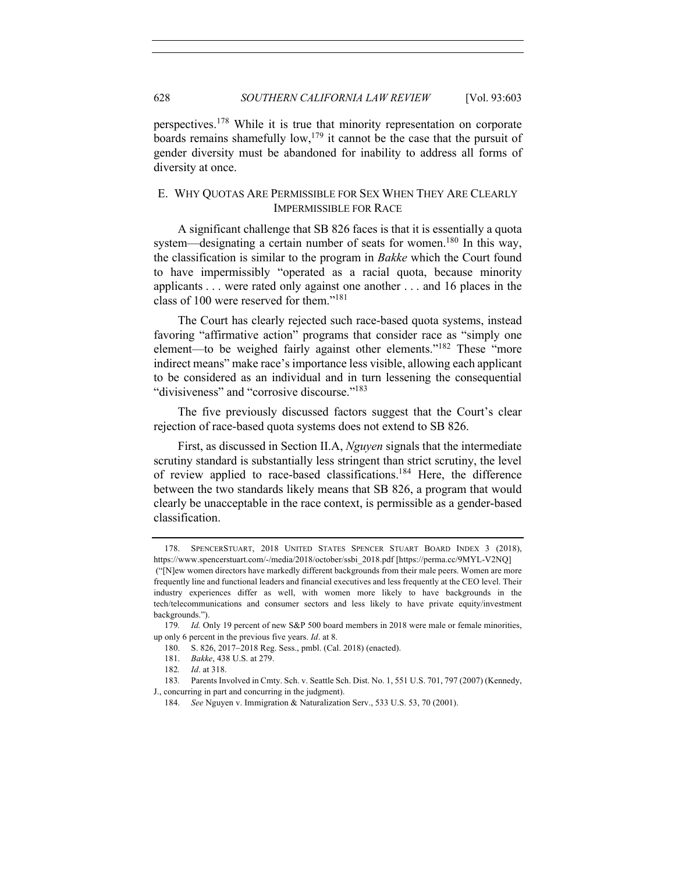perspectives.178 While it is true that minority representation on corporate boards remains shamefully low,<sup>179</sup> it cannot be the case that the pursuit of gender diversity must be abandoned for inability to address all forms of diversity at once.

## E. WHY QUOTAS ARE PERMISSIBLE FOR SEX WHEN THEY ARE CLEARLY IMPERMISSIBLE FOR RACE

A significant challenge that SB 826 faces is that it is essentially a quota system—designating a certain number of seats for women.<sup>180</sup> In this way, the classification is similar to the program in *Bakke* which the Court found to have impermissibly "operated as a racial quota, because minority applicants . . . were rated only against one another . . . and 16 places in the class of 100 were reserved for them."181

The Court has clearly rejected such race-based quota systems, instead favoring "affirmative action" programs that consider race as "simply one element—to be weighed fairly against other elements."<sup>182</sup> These "more indirect means" make race's importance less visible, allowing each applicant to be considered as an individual and in turn lessening the consequential "divisiveness" and "corrosive discourse."<sup>183</sup>

The five previously discussed factors suggest that the Court's clear rejection of race-based quota systems does not extend to SB 826.

First, as discussed in Section II.A, *Nguyen* signals that the intermediate scrutiny standard is substantially less stringent than strict scrutiny, the level of review applied to race-based classifications.184 Here, the difference between the two standards likely means that SB 826, a program that would clearly be unacceptable in the race context, is permissible as a gender-based classification.

<sup>178.</sup> SPENCERSTUART, 2018 UNITED STATES SPENCER STUART BOARD INDEX 3 (2018), https://www.spencerstuart.com/-/media/2018/october/ssbi\_2018.pdf [https://perma.cc/9MYL-V2NQ] ("[N]ew women directors have markedly different backgrounds from their male peers. Women are more frequently line and functional leaders and financial executives and less frequently at the CEO level. Their industry experiences differ as well, with women more likely to have backgrounds in the tech/telecommunications and consumer sectors and less likely to have private equity/investment backgrounds.").

<sup>179</sup>*. Id.* Only 19 percent of new S&P 500 board members in 2018 were male or female minorities, up only 6 percent in the previous five years. *Id*. at 8.

<sup>180.</sup> S. 826, 2017-2018 Reg. Sess., pmbl. (Cal. 2018) (enacted).

<sup>181.</sup> *Bakke*, 438 U.S. at 279.

<sup>182</sup>*. Id*. at 318.

<sup>183</sup>*.* Parents Involved in Cmty. Sch. v. Seattle Sch. Dist. No. 1, 551 U.S. 701, 797 (2007) (Kennedy, J., concurring in part and concurring in the judgment).

<sup>184.</sup> *See* Nguyen v. Immigration & Naturalization Serv., 533 U.S. 53, 70 (2001).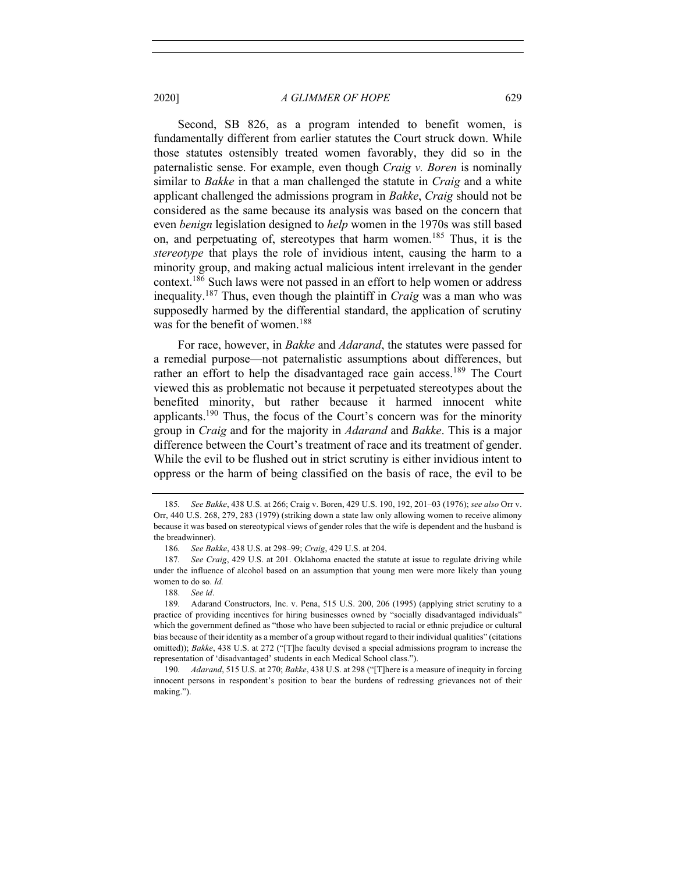Second, SB 826, as a program intended to benefit women, is fundamentally different from earlier statutes the Court struck down. While those statutes ostensibly treated women favorably, they did so in the paternalistic sense. For example, even though *Craig v. Boren* is nominally similar to *Bakke* in that a man challenged the statute in *Craig* and a white applicant challenged the admissions program in *Bakke*, *Craig* should not be considered as the same because its analysis was based on the concern that even *benign* legislation designed to *help* women in the 1970s was still based on, and perpetuating of, stereotypes that harm women.<sup>185</sup> Thus, it is the *stereotype* that plays the role of invidious intent, causing the harm to a minority group, and making actual malicious intent irrelevant in the gender context.186 Such laws were not passed in an effort to help women or address inequality.<sup>187</sup> Thus, even though the plaintiff in *Craig* was a man who was supposedly harmed by the differential standard, the application of scrutiny was for the benefit of women.<sup>188</sup>

For race, however, in *Bakke* and *Adarand*, the statutes were passed for a remedial purpose—not paternalistic assumptions about differences, but rather an effort to help the disadvantaged race gain access.<sup>189</sup> The Court viewed this as problematic not because it perpetuated stereotypes about the benefited minority, but rather because it harmed innocent white applicants.<sup>190</sup> Thus, the focus of the Court's concern was for the minority group in *Craig* and for the majority in *Adarand* and *Bakke*. This is a major difference between the Court's treatment of race and its treatment of gender. While the evil to be flushed out in strict scrutiny is either invidious intent to oppress or the harm of being classified on the basis of race, the evil to be

<sup>185</sup>*. See Bakke*, 438 U.S. at 266; Craig v. Boren, 429 U.S. 190, 192, 201–03 (1976); *see also* Orr v. Orr, 440 U.S. 268, 279, 283 (1979) (striking down a state law only allowing women to receive alimony because it was based on stereotypical views of gender roles that the wife is dependent and the husband is the breadwinner).

<sup>186</sup>*. See Bakke*, 438 U.S. at 298–99; *Craig*, 429 U.S. at 204.

<sup>187</sup>*. See Craig*, 429 U.S. at 201. Oklahoma enacted the statute at issue to regulate driving while under the influence of alcohol based on an assumption that young men were more likely than young women to do so. *Id.*

<sup>188.</sup> *See id*.

<sup>189</sup>*.* Adarand Constructors, Inc. v. Pena, 515 U.S. 200, 206 (1995) (applying strict scrutiny to a practice of providing incentives for hiring businesses owned by "socially disadvantaged individuals" which the government defined as "those who have been subjected to racial or ethnic prejudice or cultural bias because of their identity as a member of a group without regard to their individual qualities" (citations omitted)); *Bakke*, 438 U.S. at 272 ("[T]he faculty devised a special admissions program to increase the representation of 'disadvantaged' students in each Medical School class.").

<sup>190</sup>*. Adarand*, 515 U.S. at 270; *Bakke*, 438 U.S. at 298 ("[T]here is a measure of inequity in forcing innocent persons in respondent's position to bear the burdens of redressing grievances not of their making.").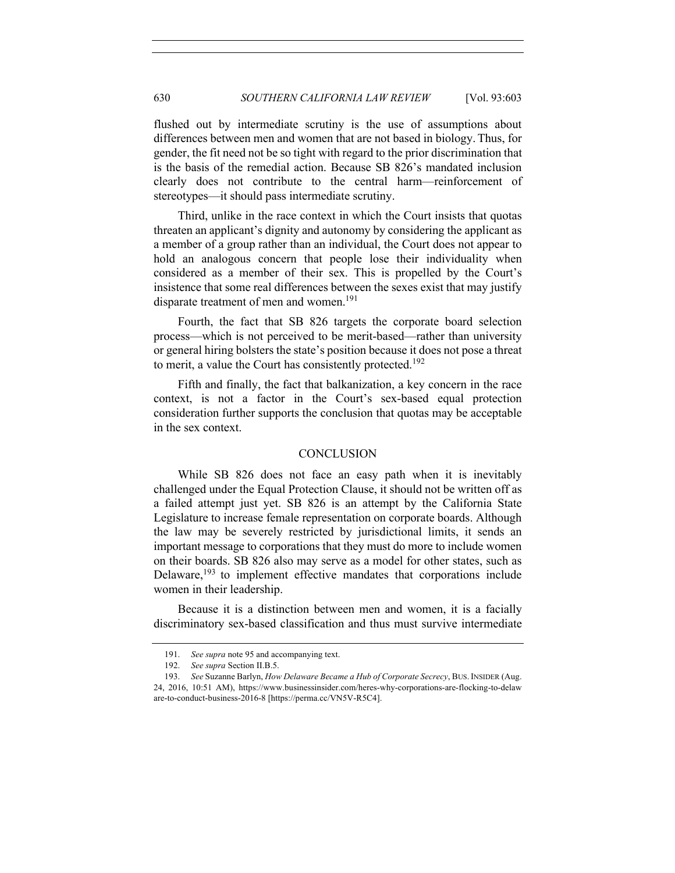flushed out by intermediate scrutiny is the use of assumptions about differences between men and women that are not based in biology. Thus, for gender, the fit need not be so tight with regard to the prior discrimination that is the basis of the remedial action. Because SB 826's mandated inclusion clearly does not contribute to the central harm—reinforcement of stereotypes—it should pass intermediate scrutiny.

Third, unlike in the race context in which the Court insists that quotas threaten an applicant's dignity and autonomy by considering the applicant as a member of a group rather than an individual, the Court does not appear to hold an analogous concern that people lose their individuality when considered as a member of their sex. This is propelled by the Court's insistence that some real differences between the sexes exist that may justify disparate treatment of men and women.<sup>191</sup>

Fourth, the fact that SB 826 targets the corporate board selection process—which is not perceived to be merit-based—rather than university or general hiring bolsters the state's position because it does not pose a threat to merit, a value the Court has consistently protected.<sup>192</sup>

Fifth and finally, the fact that balkanization, a key concern in the race context, is not a factor in the Court's sex-based equal protection consideration further supports the conclusion that quotas may be acceptable in the sex context.

## **CONCLUSION**

While SB 826 does not face an easy path when it is inevitably challenged under the Equal Protection Clause, it should not be written off as a failed attempt just yet. SB 826 is an attempt by the California State Legislature to increase female representation on corporate boards. Although the law may be severely restricted by jurisdictional limits, it sends an important message to corporations that they must do more to include women on their boards. SB 826 also may serve as a model for other states, such as Delaware,  $193$  to implement effective mandates that corporations include women in their leadership.

Because it is a distinction between men and women, it is a facially discriminatory sex-based classification and thus must survive intermediate

<sup>191.</sup> *See supra* note 95 and accompanying text.

<sup>192.</sup> *See supra* Section II.B.5.

<sup>193.</sup> *See* Suzanne Barlyn, *How Delaware Became a Hub of Corporate Secrecy*, BUS. INSIDER (Aug. 24, 2016, 10:51 AM), https://www.businessinsider.com/heres-why-corporations-are-flocking-to-delaw are-to-conduct-business-2016-8 [https://perma.cc/VN5V-R5C4].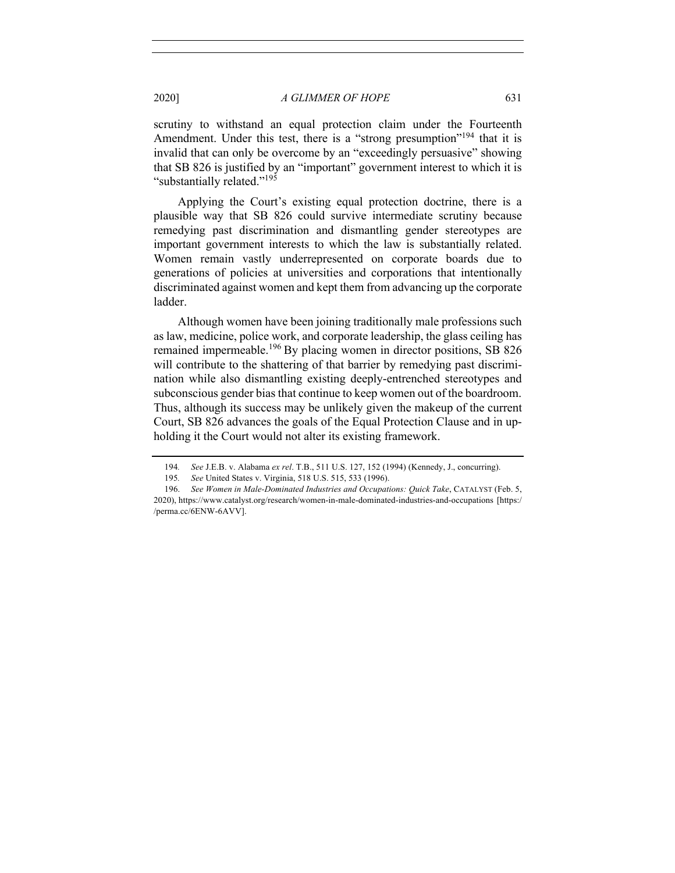scrutiny to withstand an equal protection claim under the Fourteenth Amendment. Under this test, there is a "strong presumption"<sup>194</sup> that it is invalid that can only be overcome by an "exceedingly persuasive" showing that SB 826 is justified by an "important" government interest to which it is "substantially related."<sup>195</sup>

Applying the Court's existing equal protection doctrine, there is a plausible way that SB 826 could survive intermediate scrutiny because remedying past discrimination and dismantling gender stereotypes are important government interests to which the law is substantially related. Women remain vastly underrepresented on corporate boards due to generations of policies at universities and corporations that intentionally discriminated against women and kept them from advancing up the corporate ladder.

Although women have been joining traditionally male professions such as law, medicine, police work, and corporate leadership, the glass ceiling has remained impermeable.<sup>196</sup> By placing women in director positions, SB 826 will contribute to the shattering of that barrier by remedying past discrimination while also dismantling existing deeply-entrenched stereotypes and subconscious gender bias that continue to keep women out of the boardroom. Thus, although its success may be unlikely given the makeup of the current Court, SB 826 advances the goals of the Equal Protection Clause and in upholding it the Court would not alter its existing framework.

<sup>194</sup>*. See* J.E.B. v. Alabama *ex rel*. T.B., 511 U.S. 127, 152 (1994) (Kennedy, J., concurring).

<sup>195</sup>*. See* United States v. Virginia, 518 U.S. 515, 533 (1996).

<sup>196.</sup> *See Women in Male-Dominated Industries and Occupations: Quick Take*, CATALYST (Feb. 5, 2020), https://www.catalyst.org/research/women-in-male-dominated-industries-and-occupations [https:/ /perma.cc/6ENW-6AVV].